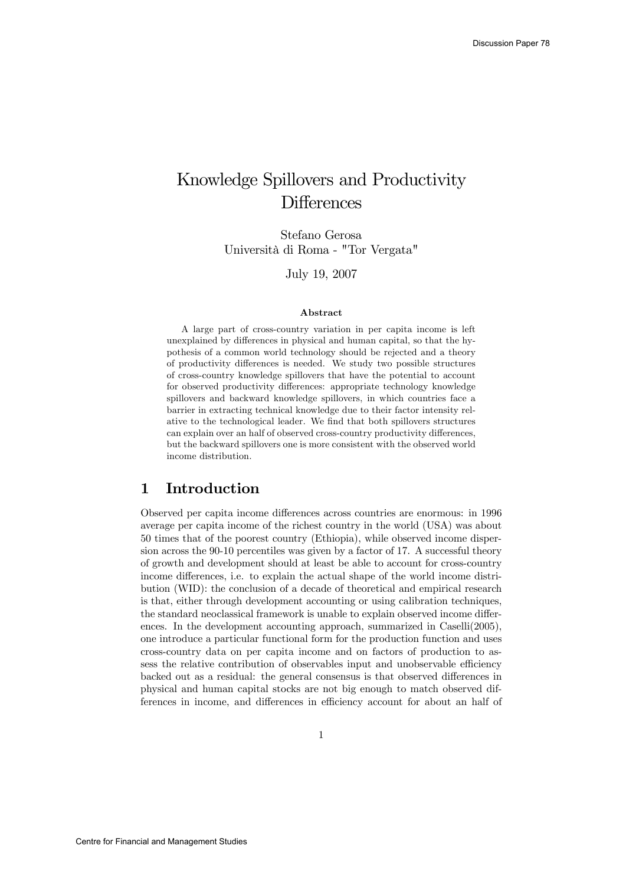## Knowledge Spillovers and Productivity **Differences**

Stefano Gerosa Università di Roma - "Tor Vergata"

July 19, 2007

#### Abstract

A large part of cross-country variation in per capita income is left unexplained by differences in physical and human capital, so that the hypothesis of a common world technology should be rejected and a theory of productivity differences is needed. We study two possible structures of cross-country knowledge spillovers that have the potential to account for observed productivity differences: appropriate technology knowledge spillovers and backward knowledge spillovers, in which countries face a barrier in extracting technical knowledge due to their factor intensity relative to the technological leader. We find that both spillovers structures can explain over an half of observed cross-country productivity differences, but the backward spillovers one is more consistent with the observed world income distribution.

#### 1 Introduction

Observed per capita income differences across countries are enormous: in 1996 average per capita income of the richest country in the world (USA) was about 50 times that of the poorest country (Ethiopia), while observed income dispersion across the 90-10 percentiles was given by a factor of 17. A successful theory of growth and development should at least be able to account for cross-country income differences, i.e. to explain the actual shape of the world income distribution (WID): the conclusion of a decade of theoretical and empirical research is that, either through development accounting or using calibration techniques, the standard neoclassical framework is unable to explain observed income differences. In the development accounting approach, summarized in Caselli(2005), one introduce a particular functional form for the production function and uses cross-country data on per capita income and on factors of production to assess the relative contribution of observables input and unobservable efficiency backed out as a residual: the general consensus is that observed differences in physical and human capital stocks are not big enough to match observed differences in income, and differences in efficiency account for about an half of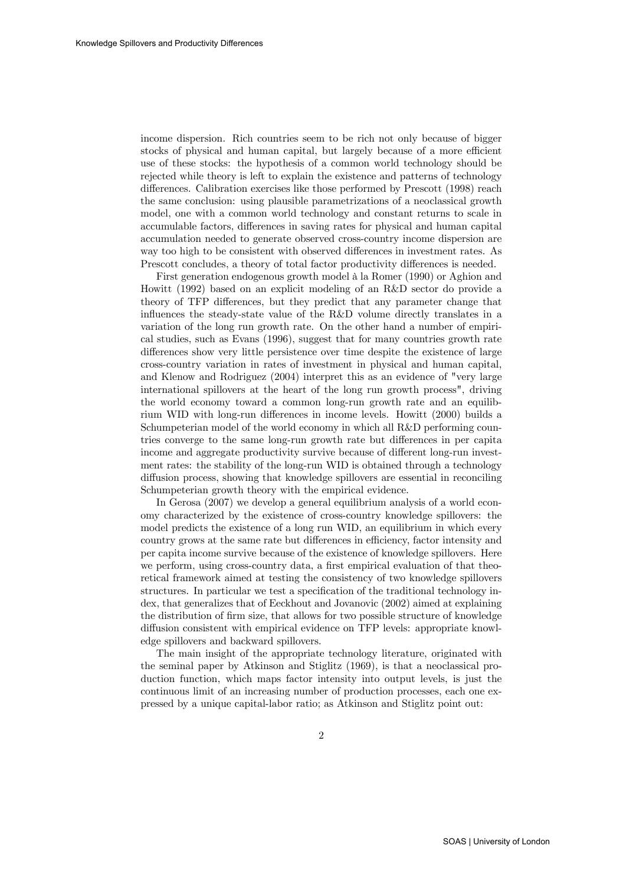income dispersion. Rich countries seem to be rich not only because of bigger stocks of physical and human capital, but largely because of a more efficient use of these stocks: the hypothesis of a common world technology should be rejected while theory is left to explain the existence and patterns of technology differences. Calibration exercises like those performed by Prescott (1998) reach the same conclusion: using plausible parametrizations of a neoclassical growth model, one with a common world technology and constant returns to scale in accumulable factors, differences in saving rates for physical and human capital accumulation needed to generate observed cross-country income dispersion are way too high to be consistent with observed differences in investment rates. As Prescott concludes, a theory of total factor productivity differences is needed.

First generation endogenous growth model à la Romer (1990) or Aghion and Howitt (1992) based on an explicit modeling of an R&D sector do provide a theory of TFP differences, but they predict that any parameter change that influences the steady-state value of the R&D volume directly translates in a variation of the long run growth rate. On the other hand a number of empirical studies, such as Evans (1996), suggest that for many countries growth rate differences show very little persistence over time despite the existence of large cross-country variation in rates of investment in physical and human capital, and Klenow and Rodriguez (2004) interpret this as an evidence of "very large international spillovers at the heart of the long run growth process", driving the world economy toward a common long-run growth rate and an equilibrium WID with long-run differences in income levels. Howitt (2000) builds a Schumpeterian model of the world economy in which all R&D performing countries converge to the same long-run growth rate but differences in per capita income and aggregate productivity survive because of different long-run investment rates: the stability of the long-run WID is obtained through a technology diffusion process, showing that knowledge spillovers are essential in reconciling Schumpeterian growth theory with the empirical evidence.

In Gerosa (2007) we develop a general equilibrium analysis of a world economy characterized by the existence of cross-country knowledge spillovers: the model predicts the existence of a long run WID, an equilibrium in which every country grows at the same rate but differences in efficiency, factor intensity and per capita income survive because of the existence of knowledge spillovers. Here we perform, using cross-country data, a first empirical evaluation of that theoretical framework aimed at testing the consistency of two knowledge spillovers structures. In particular we test a specification of the traditional technology index, that generalizes that of Eeckhout and Jovanovic (2002) aimed at explaining the distribution of firm size, that allows for two possible structure of knowledge diffusion consistent with empirical evidence on TFP levels: appropriate knowledge spillovers and backward spillovers.

The main insight of the appropriate technology literature, originated with the seminal paper by Atkinson and Stiglitz (1969), is that a neoclassical production function, which maps factor intensity into output levels, is just the continuous limit of an increasing number of production processes, each one expressed by a unique capital-labor ratio; as Atkinson and Stiglitz point out: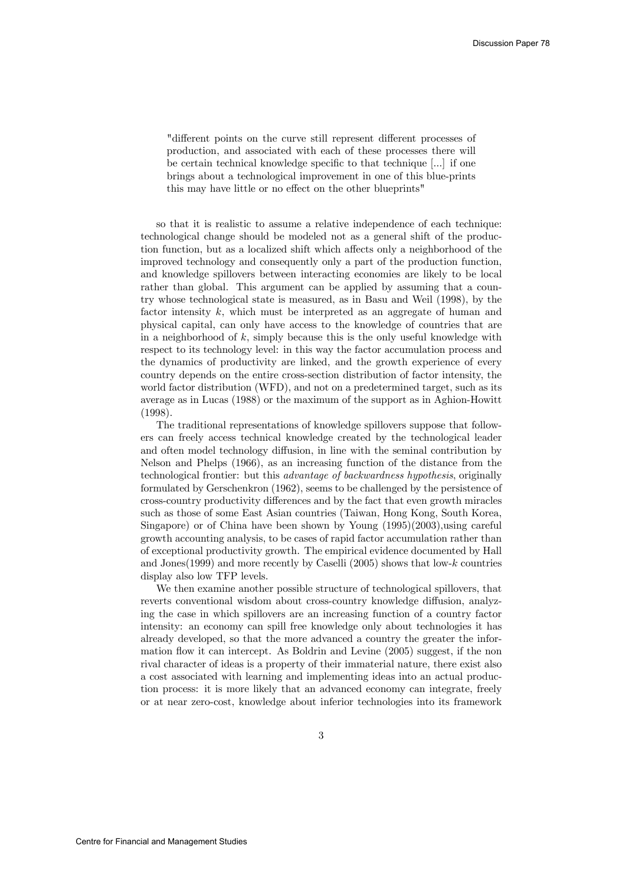"different points on the curve still represent different processes of production, and associated with each of these processes there will be certain technical knowledge specific to that technique [...] if one brings about a technological improvement in one of this blue-prints this may have little or no effect on the other blueprints"

so that it is realistic to assume a relative independence of each technique: technological change should be modeled not as a general shift of the production function, but as a localized shift which affects only a neighborhood of the improved technology and consequently only a part of the production function, and knowledge spillovers between interacting economies are likely to be local rather than global. This argument can be applied by assuming that a country whose technological state is measured, as in Basu and Weil (1998), by the factor intensity k, which must be interpreted as an aggregate of human and physical capital, can only have access to the knowledge of countries that are in a neighborhood of  $k$ , simply because this is the only useful knowledge with respect to its technology level: in this way the factor accumulation process and the dynamics of productivity are linked, and the growth experience of every country depends on the entire cross-section distribution of factor intensity, the world factor distribution (WFD), and not on a predetermined target, such as its average as in Lucas (1988) or the maximum of the support as in Aghion-Howitt (1998).

The traditional representations of knowledge spillovers suppose that followers can freely access technical knowledge created by the technological leader and often model technology diffusion, in line with the seminal contribution by Nelson and Phelps (1966), as an increasing function of the distance from the technological frontier: but this advantage of backwardness hypothesis, originally formulated by Gerschenkron (1962), seems to be challenged by the persistence of cross-country productivity differences and by the fact that even growth miracles such as those of some East Asian countries (Taiwan, Hong Kong, South Korea, Singapore) or of China have been shown by Young (1995)(2003),using careful growth accounting analysis, to be cases of rapid factor accumulation rather than of exceptional productivity growth. The empirical evidence documented by Hall and Jones(1999) and more recently by Caselli (2005) shows that low-k countries display also low TFP levels.

We then examine another possible structure of technological spillovers, that reverts conventional wisdom about cross-country knowledge diffusion, analyzing the case in which spillovers are an increasing function of a country factor intensity: an economy can spill free knowledge only about technologies it has already developed, so that the more advanced a country the greater the information flow it can intercept. As Boldrin and Levine (2005) suggest, if the non rival character of ideas is a property of their immaterial nature, there exist also a cost associated with learning and implementing ideas into an actual production process: it is more likely that an advanced economy can integrate, freely or at near zero-cost, knowledge about inferior technologies into its framework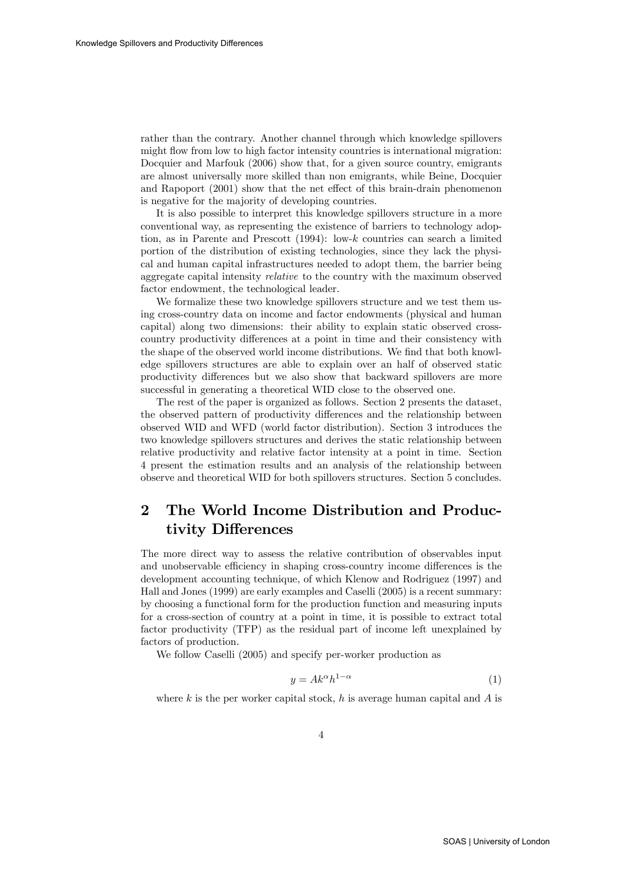rather than the contrary. Another channel through which knowledge spillovers might flow from low to high factor intensity countries is international migration: Docquier and Marfouk (2006) show that, for a given source country, emigrants are almost universally more skilled than non emigrants, while Beine, Docquier and Rapoport (2001) show that the net effect of this brain-drain phenomenon is negative for the majority of developing countries.

It is also possible to interpret this knowledge spillovers structure in a more conventional way, as representing the existence of barriers to technology adoption, as in Parente and Prescott (1994): low-k countries can search a limited portion of the distribution of existing technologies, since they lack the physical and human capital infrastructures needed to adopt them, the barrier being aggregate capital intensity relative to the country with the maximum observed factor endowment, the technological leader.

We formalize these two knowledge spillovers structure and we test them using cross-country data on income and factor endowments (physical and human capital) along two dimensions: their ability to explain static observed crosscountry productivity differences at a point in time and their consistency with the shape of the observed world income distributions. We find that both knowledge spillovers structures are able to explain over an half of observed static productivity differences but we also show that backward spillovers are more successful in generating a theoretical WID close to the observed one.

The rest of the paper is organized as follows. Section 2 presents the dataset, the observed pattern of productivity differences and the relationship between observed WID and WFD (world factor distribution). Section 3 introduces the two knowledge spillovers structures and derives the static relationship between relative productivity and relative factor intensity at a point in time. Section 4 present the estimation results and an analysis of the relationship between observe and theoretical WID for both spillovers structures. Section 5 concludes.

### 2 The World Income Distribution and Productivity Differences

The more direct way to assess the relative contribution of observables input and unobservable efficiency in shaping cross-country income differences is the development accounting technique, of which Klenow and Rodriguez (1997) and Hall and Jones (1999) are early examples and Caselli (2005) is a recent summary: by choosing a functional form for the production function and measuring inputs for a cross-section of country at a point in time, it is possible to extract total factor productivity (TFP) as the residual part of income left unexplained by factors of production.

We follow Caselli (2005) and specify per-worker production as

$$
y = Ak^{\alpha}h^{1-\alpha} \tag{1}
$$

where k is the per worker capital stock, h is average human capital and  $A$  is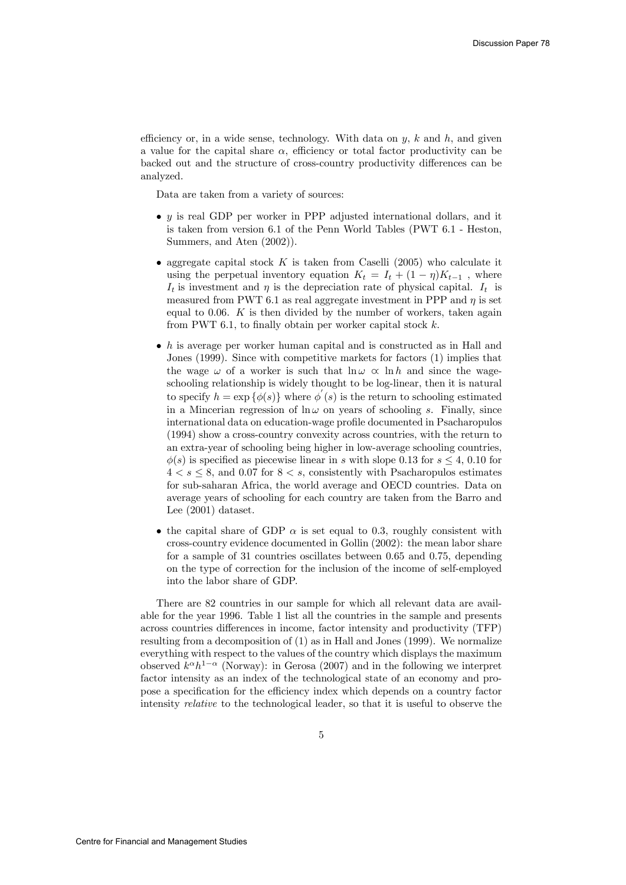efficiency or, in a wide sense, technology. With data on  $y$ ,  $k$  and  $h$ , and given a value for the capital share  $\alpha$ , efficiency or total factor productivity can be backed out and the structure of cross-country productivity differences can be analyzed.

Data are taken from a variety of sources:

- $\bullet$  y is real GDP per worker in PPP adjusted international dollars, and it is taken from version 6.1 of the Penn World Tables (PWT 6.1 - Heston, Summers, and Aten (2002)).
- aggregate capital stock K is taken from Caselli (2005) who calculate it using the perpetual inventory equation  $K_t = I_t + (1 - \eta)K_{t-1}$ , where  $I_t$  is investment and  $\eta$  is the depreciation rate of physical capital.  $I_t$  is measured from PWT 6.1 as real aggregate investment in PPP and  $\eta$  is set equal to  $0.06$ . K is then divided by the number of workers, taken again from PWT 6.1, to finally obtain per worker capital stock  $k$ .
- $\bullet$  h is average per worker human capital and is constructed as in Hall and Jones (1999). Since with competitive markets for factors (1) implies that the wage  $\omega$  of a worker is such that  $\ln \omega \propto \ln h$  and since the wageschooling relationship is widely thought to be log-linear, then it is natural to specify  $h = \exp{\{\phi(s)\}}$  where  $\phi'(s)$  is the return to schooling estimated in a Mincerian regression of  $\ln \omega$  on years of schooling s. Finally, since international data on education-wage profile documented in Psacharopulos (1994) show a cross-country convexity across countries, with the return to an extra-year of schooling being higher in low-average schooling countries,  $\phi(s)$  is specified as piecewise linear in s with slope 0.13 for  $s \leq 4$ , 0.10 for  $4 < s \leq 8$ , and 0.07 for  $8 < s$ , consistently with Psacharopulos estimates for sub-saharan Africa, the world average and OECD countries. Data on average years of schooling for each country are taken from the Barro and Lee (2001) dataset.
- the capital share of GDP  $\alpha$  is set equal to 0.3, roughly consistent with cross-country evidence documented in Gollin (2002): the mean labor share for a sample of 31 countries oscillates between 0.65 and 0.75, depending on the type of correction for the inclusion of the income of self-employed into the labor share of GDP.

There are 82 countries in our sample for which all relevant data are available for the year 1996. Table 1 list all the countries in the sample and presents across countries differences in income, factor intensity and productivity (TFP) resulting from a decomposition of (1) as in Hall and Jones (1999). We normalize everything with respect to the values of the country which displays the maximum observed  $k^{\alpha}h^{1-\alpha}$  (Norway): in Gerosa (2007) and in the following we interpret factor intensity as an index of the technological state of an economy and propose a specification for the efficiency index which depends on a country factor intensity relative to the technological leader, so that it is useful to observe the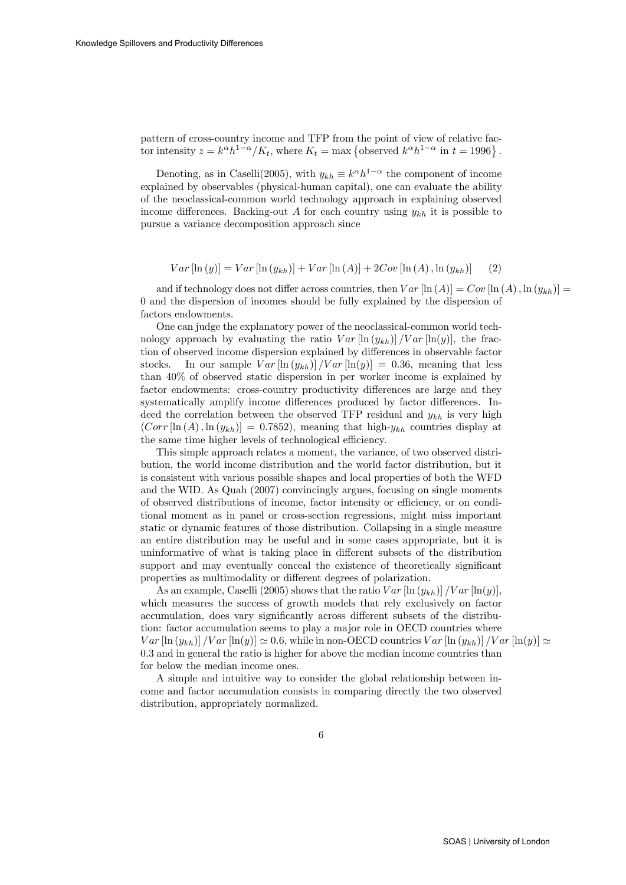pattern of cross-country income and TFP from the point of view of relative factor intensity  $z = k^{\alpha} h^{1-\alpha}/K_t$ , where  $K_t = \max \{ \text{observed } k^{\alpha} h^{1-\alpha} \text{ in } t = 1996 \}$ .

Denoting, as in Caselli(2005), with  $y_{kh} \equiv k^{\alpha} h^{1-\alpha}$  the component of income explained by observables (physical-human capital), one can evaluate the ability of the neoclassical-common world technology approach in explaining observed income differences. Backing-out A for each country using  $y_{kh}$  it is possible to pursue a variance decomposition approach since

$$
Var\left[\ln(y)\right] = Var\left[\ln(y_{kh})\right] + Var\left[\ln(A)\right] + 2Cov\left[\ln(A), \ln(y_{kh})\right] \tag{2}
$$

and if technology does not differ across countries, then  $Var[\ln(A)] = Cov[\ln(A), \ln(y_{kh})] =$ 0 and the dispersion of incomes should be fully explained by the dispersion of factors endowments.

One can judge the explanatory power of the neoclassical-common world technology approach by evaluating the ratio  $Var[\ln(y_{kh})]/Var[\ln(y)]$ , the fraction of observed income dispersion explained by differences in observable factor stocks. In our sample  $Var[\ln(y_{kh})]/Var[\ln(y)] = 0.36$ , meaning that less than 40% of observed static dispersion in per worker income is explained by factor endowments: cross-country productivity differences are large and they systematically amplify income differences produced by factor differences. Indeed the correlation between the observed TFP residual and  $y_{kh}$  is very high  $(Corr \left[ \ln (A), \ln (y_{kh}) \right] = 0.7852$ , meaning that high- $y_{kh}$  countries display at the same time higher levels of technological efficiency.

This simple approach relates a moment, the variance, of two observed distribution, the world income distribution and the world factor distribution, but it is consistent with various possible shapes and local properties of both the WFD and the WID. As Quah (2007) convincingly argues, focusing on single moments of observed distributions of income, factor intensity or efficiency, or on conditional moment as in panel or cross-section regressions, might miss important static or dynamic features of those distribution. Collapsing in a single measure an entire distribution may be useful and in some cases appropriate, but it is uninformative of what is taking place in different subsets of the distribution support and may eventually conceal the existence of theoretically significant properties as multimodality or different degrees of polarization.

As an example, Caselli (2005) shows that the ratio  $Var\left[\ln(y_{kh})\right]/Var\left[\ln(y)\right],$ which measures the success of growth models that rely exclusively on factor accumulation, does vary significantly across different subsets of the distribution: factor accumulation seems to play a major role in OECD countries where  $Var\left[\ln(y_{kh})\right]$  /V ar  $\left[\ln(y)\right] \simeq 0.6$ , while in non-OECD countries V ar  $\left[\ln(y_{kh})\right]$  /V ar  $\left[\ln(y)\right] \simeq$ 0.3 and in general the ratio is higher for above the median income countries than for below the median income ones.

A simple and intuitive way to consider the global relationship between income and factor accumulation consists in comparing directly the two observed distribution, appropriately normalized.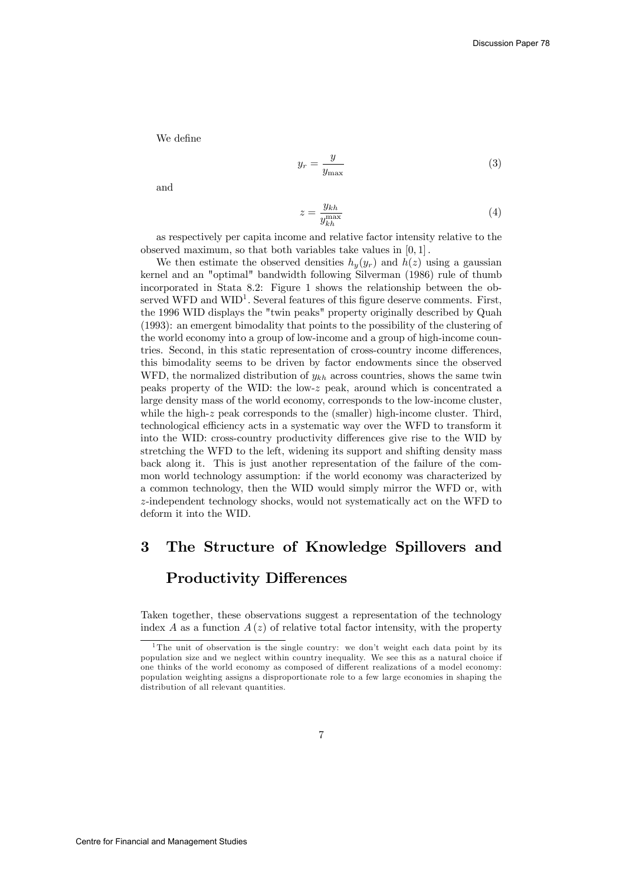We define

$$
y_r = \frac{y}{y_{\text{max}}} \tag{3}
$$

and

$$
z = \frac{y_{kh}}{y_{kh}^{\max}}\tag{4}
$$

as respectively per capita income and relative factor intensity relative to the observed maximum, so that both variables take values in [0, 1] .

We then estimate the observed densities  $h_y(y_r)$  and  $h(z)$  using a gaussian kernel and an "optimal" bandwidth following Silverman (1986) rule of thumb incorporated in Stata 8.2: Figure 1 shows the relationship between the observed WFD and  $WID<sup>1</sup>$ . Several features of this figure deserve comments. First, the 1996 WID displays the "twin peaks" property originally described by Quah (1993): an emergent bimodality that points to the possibility of the clustering of the world economy into a group of low-income and a group of high-income countries. Second, in this static representation of cross-country income differences, this bimodality seems to be driven by factor endowments since the observed WFD, the normalized distribution of  $y_{kh}$  across countries, shows the same twin peaks property of the WID: the low-z peak, around which is concentrated a large density mass of the world economy, corresponds to the low-income cluster, while the high-z peak corresponds to the (smaller) high-income cluster. Third, technological efficiency acts in a systematic way over the WFD to transform it into the WID: cross-country productivity differences give rise to the WID by stretching the WFD to the left, widening its support and shifting density mass back along it. This is just another representation of the failure of the common world technology assumption: if the world economy was characterized by a common technology, then the WID would simply mirror the WFD or, with z-independent technology shocks, would not systematically act on the WFD to deform it into the WID.

# 3 The Structure of Knowledge Spillovers and

#### Productivity Differences

Taken together, these observations suggest a representation of the technology index A as a function  $A(z)$  of relative total factor intensity, with the property

<sup>&</sup>lt;sup>1</sup>The unit of observation is the single country: we don't weight each data point by its population size and we neglect within country inequality. We see this as a natural choice if one thinks of the world economy as composed of different realizations of a model economy: population weighting assigns a disproportionate role to a few large economies in shaping the distribution of all relevant quantities.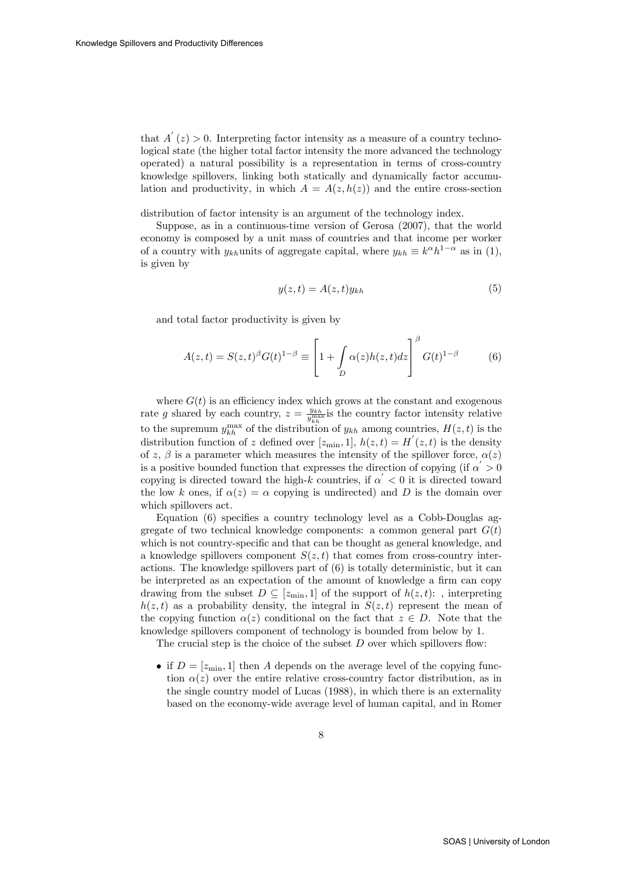that  $A'(z) > 0$ . Interpreting factor intensity as a measure of a country technological state (the higher total factor intensity the more advanced the technology operated) a natural possibility is a representation in terms of cross-country knowledge spillovers, linking both statically and dynamically factor accumulation and productivity, in which  $A = A(z, h(z))$  and the entire cross-section

distribution of factor intensity is an argument of the technology index.

Suppose, as in a continuous-time version of Gerosa (2007), that the world economy is composed by a unit mass of countries and that income per worker of a country with  $y_{kh}$ units of aggregate capital, where  $y_{kh} \equiv k^{\alpha} h^{1-\alpha}$  as in (1), is given by

$$
y(z,t) = A(z,t)y_{kh}
$$
\n<sup>(5)</sup>

and total factor productivity is given by

$$
A(z,t) = S(z,t)^{\beta} G(t)^{1-\beta} \equiv \left[1 + \int_{D} \alpha(z) h(z,t) dz\right]^{\beta} G(t)^{1-\beta} \tag{6}
$$

where  $G(t)$  is an efficiency index which grows at the constant and exogenous rate g shared by each country,  $z = \frac{y_{kh}}{y_{kh}^{\max}}$  is the country factor intensity relative to the supremum  $y_{kh}^{\text{max}}$  of the distribution of  $y_{kh}$  among countries,  $H(z, t)$  is the distribution function of z defined over  $[z_{\min}, 1]$ ,  $h(z, t) = H'(z, t)$  is the density of z,  $\beta$  is a parameter which measures the intensity of the spillover force,  $\alpha(z)$ is a positive bounded function that expresses the direction of copying (if  $\alpha > 0$ copying is directed toward the high-k countries, if  $\alpha' < 0$  it is directed toward the low k ones, if  $\alpha(z) = \alpha$  copying is undirected) and D is the domain over which spillovers act.

Equation (6) specifies a country technology level as a Cobb-Douglas aggregate of two technical knowledge components: a common general part  $G(t)$ which is not country-specific and that can be thought as general knowledge, and a knowledge spillovers component  $S(z, t)$  that comes from cross-country interactions. The knowledge spillovers part of (6) is totally deterministic, but it can be interpreted as an expectation of the amount of knowledge a firm can copy drawing from the subset  $D \subseteq [z_{\min}, 1]$  of the support of  $h(z, t)$ : , interpreting  $h(z, t)$  as a probability density, the integral in  $S(z, t)$  represent the mean of the copying function  $\alpha(z)$  conditional on the fact that  $z \in D$ . Note that the knowledge spillovers component of technology is bounded from below by 1.

The crucial step is the choice of the subset  $D$  over which spillovers flow:

• if  $D = [z_{\text{min}}, 1]$  then A depends on the average level of the copying function  $\alpha(z)$  over the entire relative cross-country factor distribution, as in the single country model of Lucas (1988), in which there is an externality based on the economy-wide average level of human capital, and in Romer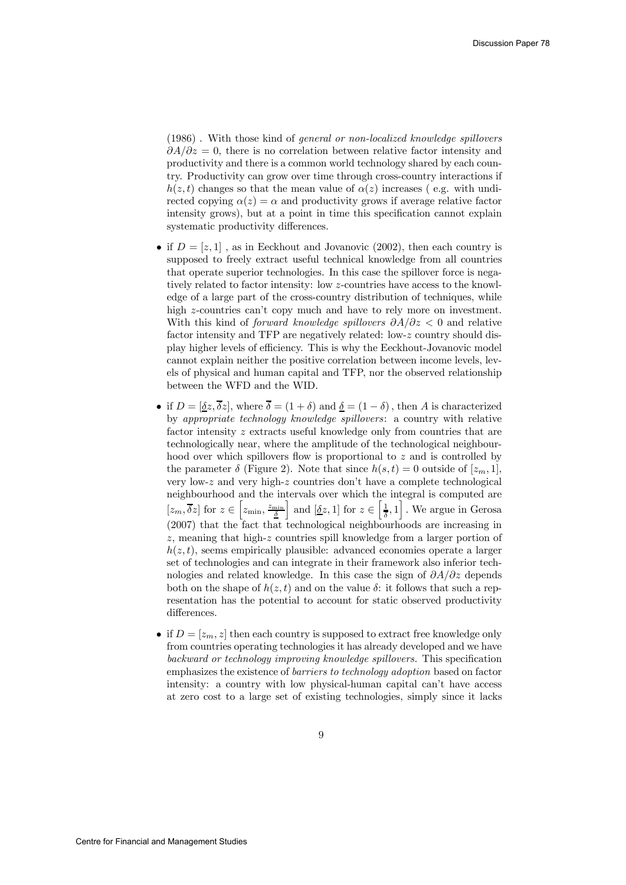(1986) . With those kind of general or non-localized knowledge spillovers  $\partial A/\partial z = 0$ , there is no correlation between relative factor intensity and productivity and there is a common world technology shared by each country. Productivity can grow over time through cross-country interactions if  $h(z, t)$  changes so that the mean value of  $\alpha(z)$  increases (e.g. with undirected copying  $\alpha(z) = \alpha$  and productivity grows if average relative factor intensity grows), but at a point in time this specification cannot explain systematic productivity differences.

- if  $D = [z, 1]$ , as in Eeckhout and Jovanovic (2002), then each country is supposed to freely extract useful technical knowledge from all countries that operate superior technologies. In this case the spillover force is negatively related to factor intensity: low z-countries have access to the knowledge of a large part of the cross-country distribution of techniques, while high z-countries can't copy much and have to rely more on investment. With this kind of *forward knowledge spillovers*  $\partial A/\partial z < 0$  and relative factor intensity and TFP are negatively related: low-z country should display higher levels of efficiency. This is why the Eeckhout-Jovanovic model cannot explain neither the positive correlation between income levels, levels of physical and human capital and TFP, nor the observed relationship between the WFD and the WID.
- if  $D = [\underline{\delta}z, \overline{\delta}z]$ , where  $\overline{\delta} = (1 + \delta)$  and  $\underline{\delta} = (1 \delta)$ , then A is characterized by appropriate technology knowledge spillovers: a country with relative factor intensity z extracts useful knowledge only from countries that are technologically near, where the amplitude of the technological neighbourhood over which spillovers flow is proportional to z and is controlled by the parameter  $\delta$  (Figure 2). Note that since  $h(s,t)=0$  outside of  $[z_m, 1]$ , very low-z and very high-z countries don't have a complete technological neighbourhood and the intervals over which the integral is computed are  $[z_m, \overline{\delta}z]$  for  $z \in \left[z_{\min}, \frac{z_{\min}}{\underline{\delta}}\right]$ and  $[\underline{\delta}z, 1]$  for  $z \in \left[\frac{1}{\delta}, 1\right]$ . We argue in Gerosa (2007) that the fact that technological neighbourhoods are increasing in z, meaning that high-z countries spill knowledge from a larger portion of  $h(z, t)$ , seems empirically plausible: advanced economies operate a larger set of technologies and can integrate in their framework also inferior technologies and related knowledge. In this case the sign of  $\partial A/\partial z$  depends both on the shape of  $h(z, t)$  and on the value  $\delta$ : it follows that such a representation has the potential to account for static observed productivity differences.
- if  $D = [z_m, z]$  then each country is supposed to extract free knowledge only from countries operating technologies it has already developed and we have backward or technology improving knowledge spillovers. This specification emphasizes the existence of barriers to technology adoption based on factor intensity: a country with low physical-human capital can't have access at zero cost to a large set of existing technologies, simply since it lacks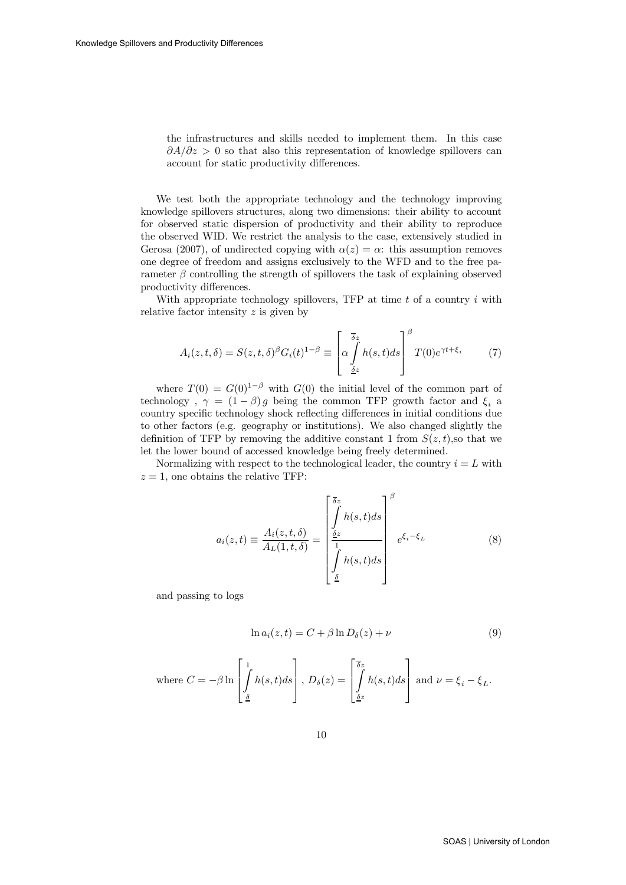the infrastructures and skills needed to implement them. In this case  $\partial A/\partial z > 0$  so that also this representation of knowledge spillovers can account for static productivity differences.

We test both the appropriate technology and the technology improving knowledge spillovers structures, along two dimensions: their ability to account for observed static dispersion of productivity and their ability to reproduce the observed WID. We restrict the analysis to the case, extensively studied in Gerosa (2007), of undirected copying with  $\alpha(z) = \alpha$ : this assumption removes one degree of freedom and assigns exclusively to the WFD and to the free parameter  $\beta$  controlling the strength of spillovers the task of explaining observed productivity differences.

With appropriate technology spillovers, TFP at time  $t$  of a country  $i$  with relative factor intensity z is given by

$$
A_i(z, t, \delta) = S(z, t, \delta)^{\beta} G_i(t)^{1-\beta} \equiv \left[ \alpha \int_{\frac{\delta z}{\delta z}}^{\overline{\delta} z} h(s, t) ds \right]^{\beta} T(0) e^{\gamma t + \xi_i} \tag{7}
$$

where  $T(0) = G(0)^{1-\beta}$  with  $G(0)$  the initial level of the common part of technology,  $\gamma = (1 - \beta) g$  being the common TFP growth factor and  $\xi_i$  a country specific technology shock reflecting differences in initial conditions due to other factors (e.g. geography or institutions). We also changed slightly the definition of TFP by removing the additive constant 1 from  $S(z, t)$ , so that we let the lower bound of accessed knowledge being freely determined.

Normalizing with respect to the technological leader, the country  $i = L$  with  $z = 1$ , one obtains the relative TFP:

$$
a_i(z,t) \equiv \frac{A_i(z,t,\delta)}{A_L(1,t,\delta)} = \begin{bmatrix} \frac{\delta z}{\delta} & & \\ \int h(s,t)ds & & \\ \frac{\delta z}{1} & & \\ \int h(s,t)ds & & \end{bmatrix} e^{\xi_i - \xi_L} \tag{8}
$$

and passing to logs

$$
\ln a_i(z, t) = C + \beta \ln D_{\delta}(z) + \nu \tag{9}
$$

where 
$$
C = -\beta \ln \left[ \int_{\underline{\delta}}^1 h(s, t) ds \right]
$$
,  $D_{\delta}(z) = \left[ \int_{\underline{\delta}z}^{\overline{\delta}z} h(s, t) ds \right]$  and  $\nu = \xi_i - \xi_L$ .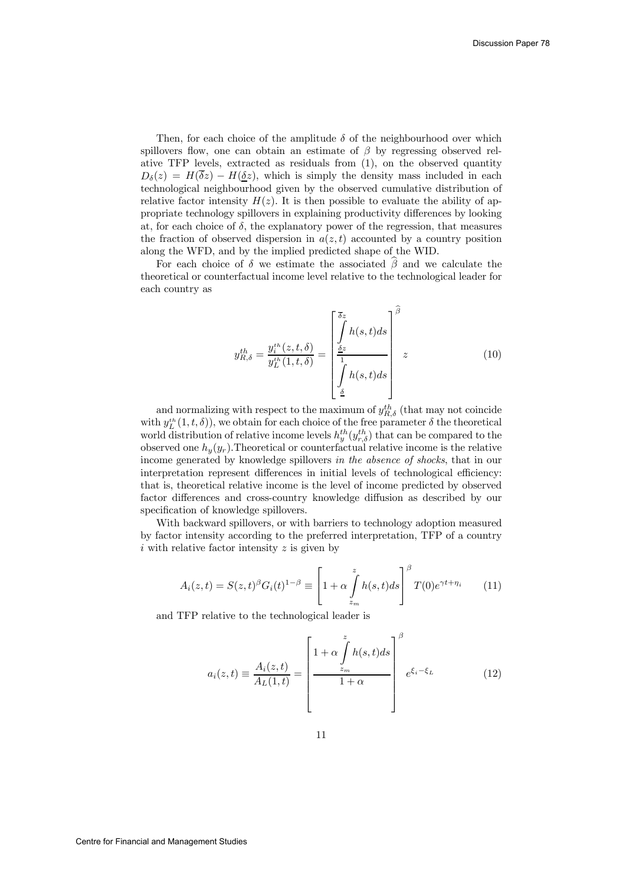Then, for each choice of the amplitude  $\delta$  of the neighbourhood over which spillovers flow, one can obtain an estimate of  $\beta$  by regressing observed relative TFP levels, extracted as residuals from (1), on the observed quantity  $D_{\delta}(z) = H(\overline{\delta}z) - H(\underline{\delta}z)$ , which is simply the density mass included in each technological neighbourhood given by the observed cumulative distribution of relative factor intensity  $H(z)$ . It is then possible to evaluate the ability of appropriate technology spillovers in explaining productivity differences by looking at, for each choice of  $\delta$ , the explanatory power of the regression, that measures the fraction of observed dispersion in  $a(z, t)$  accounted by a country position along the WFD, and by the implied predicted shape of the WID.

For each choice of  $\delta$  we estimate the associated  $\hat{\beta}$  and we calculate the theoretical or counterfactual income level relative to the technological leader for each country as

$$
y_{R,\delta}^{th} = \frac{y_i^{th}(z,t,\delta)}{y_L^{th}(1,t,\delta)} = \begin{bmatrix} \frac{\delta z}{\delta} \\ \frac{\delta z}{\delta} \\ \frac{\delta z}{\delta} \end{bmatrix} \begin{bmatrix} \frac{\delta z}{\delta} \\ \frac{\delta z}{\delta} \end{bmatrix} \begin{bmatrix} \frac{\delta z}{\delta} \\ \frac{\delta z}{\delta} \end{bmatrix} \tag{10}
$$

and normalizing with respect to the maximum of  $y_{R,\delta}^{th}$  (that may not coincide with  $y_L^{th}(1,t,\delta)$ , we obtain for each choice of the free parameter  $\delta$  the theoretical world distribution of relative income levels  $h_y^{th}(y_{r,\delta}^{th})$  that can be compared to the observed one  $h_y(y_r)$ . Theoretical or counterfactual relative income is the relative income generated by knowledge spillovers in the absence of shocks, that in our interpretation represent differences in initial levels of technological efficiency: that is, theoretical relative income is the level of income predicted by observed factor differences and cross-country knowledge diffusion as described by our specification of knowledge spillovers.

With backward spillovers, or with barriers to technology adoption measured by factor intensity according to the preferred interpretation, TFP of a country i with relative factor intensity  $z$  is given by

$$
A_i(z,t) = S(z,t)^{\beta} G_i(t)^{1-\beta} \equiv \left[1 + \alpha \int\limits_{z_m}^z h(s,t)ds\right]^{\beta} T(0)e^{\gamma t + \eta_i} \qquad (11)
$$

and TFP relative to the technological leader is

$$
a_i(z,t) \equiv \frac{A_i(z,t)}{A_L(1,t)} = \left[\frac{1+\alpha \int\limits_{z_m}^z h(s,t)ds}{1+\alpha}\right]^\beta e^{\xi_i - \xi_L}
$$
(12)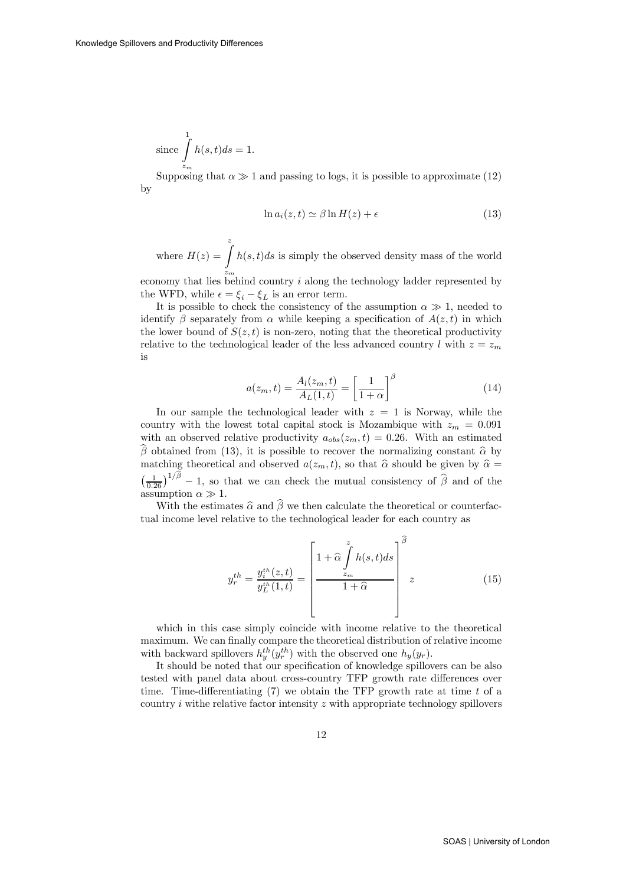since 
$$
\int_{z_m}^{1} h(s,t)ds = 1.
$$

Supposing that  $\alpha \gg 1$  and passing to logs, it is possible to approximate (12) by

$$
\ln a_i(z, t) \simeq \beta \ln H(z) + \epsilon \tag{13}
$$

where  $H(z) = \int$  $z_m$  $h(s,t)ds$  is simply the observed density mass of the world

economy that lies behind country  $i$  along the technology ladder represented by the WFD, while  $\epsilon = \xi_i - \xi_L$  is an error term.

It is possible to check the consistency of the assumption  $\alpha \gg 1$ , needed to identify  $\beta$  separately from  $\alpha$  while keeping a specification of  $A(z, t)$  in which the lower bound of  $S(z, t)$  is non-zero, noting that the theoretical productivity relative to the technological leader of the less advanced country l with  $z = z_m$ is

$$
a(z_m, t) = \frac{A_l(z_m, t)}{A_L(1, t)} = \left[\frac{1}{1+\alpha}\right]^\beta \tag{14}
$$

In our sample the technological leader with  $z = 1$  is Norway, while the country with the lowest total capital stock is Mozambique with  $z_m = 0.091$ with an observed relative productivity  $a_{obs}(z_m, t)=0.26$ . With an estimated  $\hat{\beta}$  obtained from (13), it is possible to recover the normalizing constant  $\hat{\alpha}$  by matching theoretical and observed  $a(z_m, t)$ , so that  $\hat{\alpha}$  should be given by  $\hat{\alpha}$  = matching theoretical and observed  $a(z_m, t)$ , so that  $\hat{\alpha}$  should be given by  $\hat{\alpha} = \left(\frac{1}{0.26}\right)^{1/\hat{\beta}} - 1$ , so that we can check the mutual consistency of  $\hat{\beta}$  and of the assumption  $\alpha \gg 1$ .

With the estimates  $\widehat{\alpha}$  and  $\widehat{\beta}$  we then calculate the theoretical or counterfactual income level relative to the technological leader for each country as

$$
y_r^{th} = \frac{y_i^{th}(z,t)}{y_L^{th}(1,t)} = \left[\frac{1 + \hat{\alpha} \int\limits_{z_m}^{z} h(s,t)ds}{1 + \hat{\alpha}}\right]^{\beta} z
$$
(15)

which in this case simply coincide with income relative to the theoretical maximum. We can finally compare the theoretical distribution of relative income with backward spillovers  $h_y^{th}(y_r^{th})$  with the observed one  $h_y(y_r)$ .

It should be noted that our specification of knowledge spillovers can be also tested with panel data about cross-country TFP growth rate differences over time. Time-differentiating  $(7)$  we obtain the TFP growth rate at time t of a country  $i$  withe relative factor intensity  $z$  with appropriate technology spillovers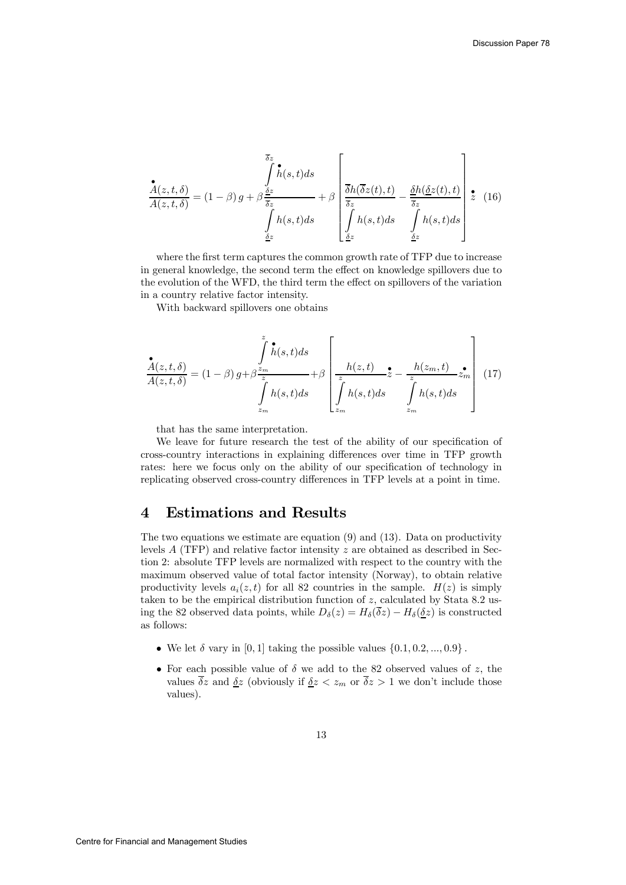$$
\frac{\mathbf{\hat{A}}(z,t,\delta)}{A(z,t,\delta)} = (1-\beta) g + \beta \frac{\frac{\overline{\delta}z}{\delta z}}{\int_{\frac{\delta z}{\delta z}}^{t} h(s,t)ds} + \beta \left[ \frac{\overline{\delta}h(\overline{\delta}z(t),t)}{\frac{\overline{\delta}z}{\delta z}} - \frac{\underline{\delta}h(\underline{\delta}z(t),t)}{\frac{\overline{\delta}z}{\delta z}} \right] \mathbf{\hat{z}} \quad (16)
$$

where the first term captures the common growth rate of TFP due to increase in general knowledge, the second term the effect on knowledge spillovers due to the evolution of the WFD, the third term the effect on spillovers of the variation in a country relative factor intensity.

With backward spillovers one obtains

$$
\frac{\stackrel{\bullet}{A}(z,t,\delta)}{A(z,t,\delta)} = (1-\beta) g + \beta \frac{z_m}{z_m} + \beta \left[ \frac{h(z,t)}{z_m} \stackrel{\bullet}{z} - \frac{h(z_m,t)}{z_m} z_m \right] \tag{17}
$$

that has the same interpretation.

We leave for future research the test of the ability of our specification of cross-country interactions in explaining differences over time in TFP growth rates: here we focus only on the ability of our specification of technology in replicating observed cross-country differences in TFP levels at a point in time.

#### 4 Estimations and Results

The two equations we estimate are equation (9) and (13). Data on productivity levels  $A$  (TFP) and relative factor intensity  $z$  are obtained as described in Section 2: absolute TFP levels are normalized with respect to the country with the maximum observed value of total factor intensity (Norway), to obtain relative productivity levels  $a_i(z, t)$  for all 82 countries in the sample.  $H(z)$  is simply taken to be the empirical distribution function of z, calculated by Stata 8.2 using the 82 observed data points, while  $D_{\delta}(z) = H_{\delta}(\overline{\delta}z) - H_{\delta}(\underline{\delta}z)$  is constructed as follows:

- We let  $\delta$  vary in [0, 1] taking the possible values  $\{0.1, 0.2, ..., 0.9\}$ .
- For each possible value of  $\delta$  we add to the 82 observed values of z, the values  $\overline{\delta}z$  and  $\underline{\delta}z$  (obviously if  $\underline{\delta}z < z_m$  or  $\overline{\delta}z > 1$  we don't include those values).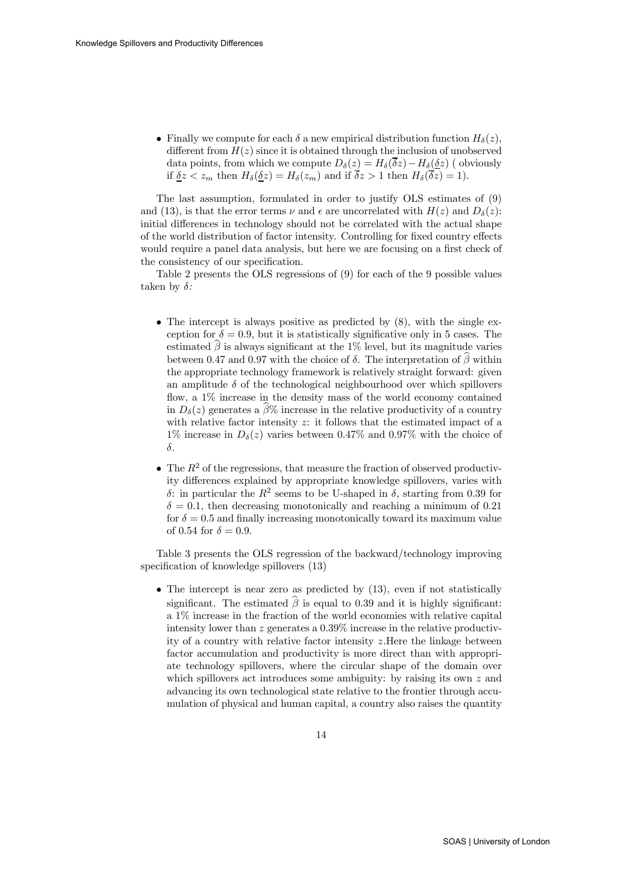• Finally we compute for each  $\delta$  a new empirical distribution function  $H_{\delta}(z)$ , different from  $H(z)$  since it is obtained through the inclusion of unobserved data points, from which we compute  $D_{\delta}(z) = H_{\delta}(\overline{\delta}z) - H_{\delta}(\underline{\delta}z)$  ( obviously if  $\delta z < z_m$  then  $H_\delta(\delta z) = H_\delta(z_m)$  and if  $\overline{\delta z} > 1$  then  $H_\delta(\overline{\delta z}) = 1$ .

The last assumption, formulated in order to justify OLS estimates of (9) and (13), is that the error terms  $\nu$  and  $\epsilon$  are uncorrelated with  $H(z)$  and  $D_{\delta}(z)$ : initial differences in technology should not be correlated with the actual shape of the world distribution of factor intensity. Controlling for fixed country effects would require a panel data analysis, but here we are focusing on a first check of the consistency of our specification.

Table 2 presents the OLS regressions of (9) for each of the 9 possible values taken by  $\delta$ :

- The intercept is always positive as predicted by  $(8)$ , with the single exception for  $\delta = 0.9$ , but it is statistically significative only in 5 cases. The estimated  $\hat{\beta}$  is always significant at the 1% level, but its magnitude varies between 0.47 and 0.97 with the choice of  $\delta$ . The interpretation of  $\hat{\beta}$  within the appropriate technology framework is relatively straight forward: given an amplitude  $\delta$  of the technological neighbourhood over which spillovers flow, a 1% increase in the density mass of the world economy contained in  $D_{\delta}(z)$  generates a  $\widehat{\beta}\%$  increase in the relative productivity of a country with relative factor intensity  $z$ : it follows that the estimated impact of a 1% increase in  $D_{\delta}(z)$  varies between 0.47% and 0.97% with the choice of δ.
- The  $R^2$  of the regressions, that measure the fraction of observed productivity differences explained by appropriate knowledge spillovers, varies with δ: in particular the  $R^2$  seems to be U-shaped in δ, starting from 0.39 for  $\delta = 0.1$ , then decreasing monotonically and reaching a minimum of 0.21 for  $\delta = 0.5$  and finally increasing monotonically toward its maximum value of 0.54 for  $\delta = 0.9$ .

Table 3 presents the OLS regression of the backward/technology improving specification of knowledge spillovers (13)

• The intercept is near zero as predicted by  $(13)$ , even if not statistically significant. The estimated  $\widehat{\beta}$  is equal to 0.39 and it is highly significant: a 1% increase in the fraction of the world economies with relative capital intensity lower than z generates a 0.39% increase in the relative productivity of a country with relative factor intensity z.Here the linkage between factor accumulation and productivity is more direct than with appropriate technology spillovers, where the circular shape of the domain over which spillovers act introduces some ambiguity: by raising its own  $z$  and advancing its own technological state relative to the frontier through accumulation of physical and human capital, a country also raises the quantity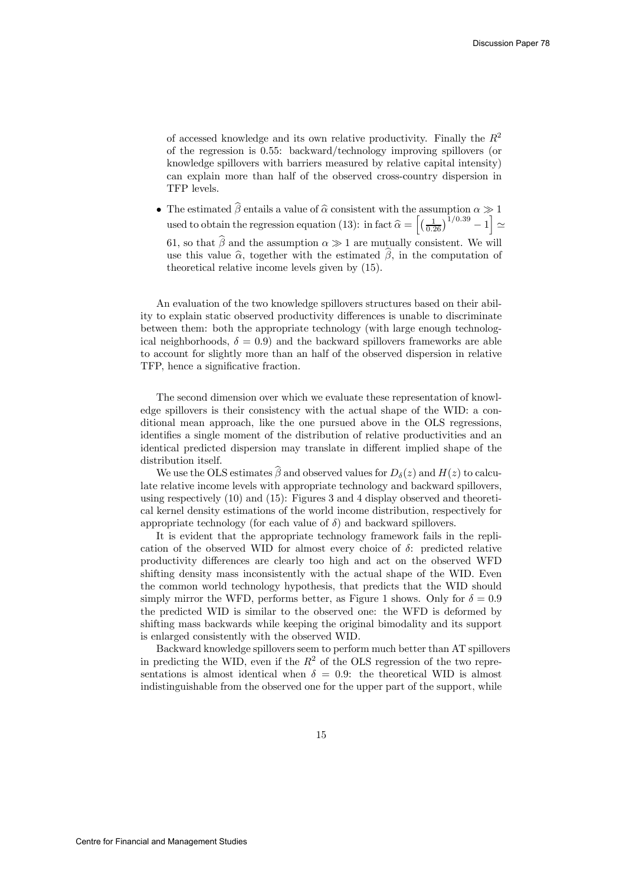of accessed knowledge and its own relative productivity. Finally the  $R^2$ of the regression is 0.55: backward/technology improving spillovers (or knowledge spillovers with barriers measured by relative capital intensity) can explain more than half of the observed cross-country dispersion in TFP levels.

• The estimated  $\beta$  entails a value of  $\hat{\alpha}$  consistent with the assumption  $\alpha \gg 1$ used to obtain the regression equation (13): in fact  $\widehat{\alpha} = \left[ \left( \frac{1}{0.26} \right)^{1/0.39} - 1 \right] \simeq$ 61, so that  $\widehat{\beta}$  and the assumption  $\alpha \gg 1$  are mutually consistent. We will use this value  $\hat{\alpha}$ , together with the estimated  $\hat{\beta}$ , in the computation of theoretical relative income levels given by (15).

An evaluation of the two knowledge spillovers structures based on their ability to explain static observed productivity differences is unable to discriminate between them: both the appropriate technology (with large enough technological neighborhoods,  $\delta = 0.9$ ) and the backward spillovers frameworks are able to account for slightly more than an half of the observed dispersion in relative TFP, hence a significative fraction.

The second dimension over which we evaluate these representation of knowledge spillovers is their consistency with the actual shape of the WID: a conditional mean approach, like the one pursued above in the OLS regressions, identifies a single moment of the distribution of relative productivities and an identical predicted dispersion may translate in different implied shape of the distribution itself.

We use the OLS estimates  $\beta$  and observed values for  $D_{\delta}(z)$  and  $H(z)$  to calculate relative income levels with appropriate technology and backward spillovers, using respectively (10) and (15): Figures 3 and 4 display observed and theoretical kernel density estimations of the world income distribution, respectively for appropriate technology (for each value of  $\delta$ ) and backward spillovers.

It is evident that the appropriate technology framework fails in the replication of the observed WID for almost every choice of  $\delta$ : predicted relative productivity differences are clearly too high and act on the observed WFD shifting density mass inconsistently with the actual shape of the WID. Even the common world technology hypothesis, that predicts that the WID should simply mirror the WFD, performs better, as Figure 1 shows. Only for  $\delta = 0.9$ the predicted WID is similar to the observed one: the WFD is deformed by shifting mass backwards while keeping the original bimodality and its support is enlarged consistently with the observed WID.

Backward knowledge spillovers seem to perform much better than AT spillovers in predicting the WID, even if the  $R^2$  of the OLS regression of the two representations is almost identical when  $\delta = 0.9$ : the theoretical WID is almost indistinguishable from the observed one for the upper part of the support, while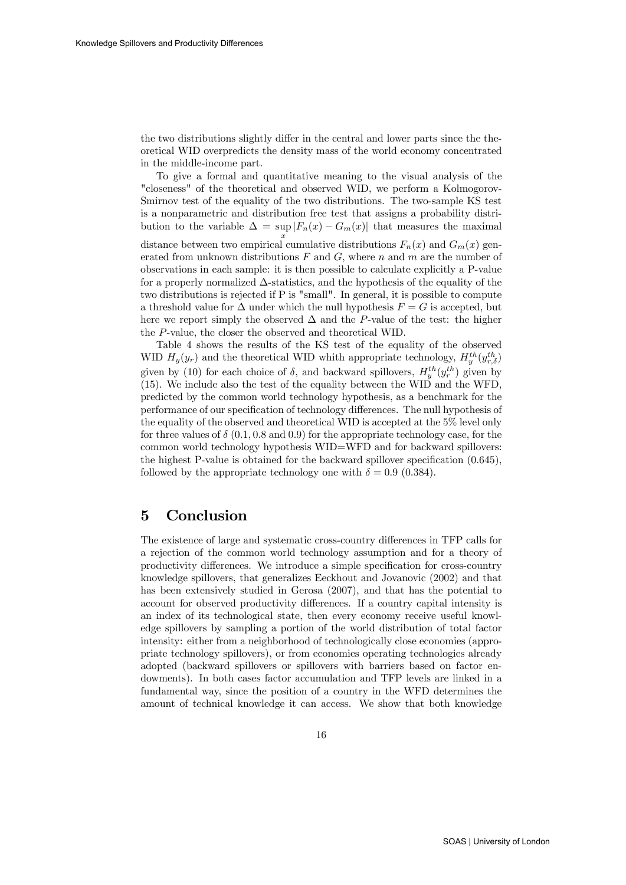the two distributions slightly differ in the central and lower parts since the theoretical WID overpredicts the density mass of the world economy concentrated in the middle-income part.

To give a formal and quantitative meaning to the visual analysis of the "closeness" of the theoretical and observed WID, we perform a Kolmogorov-Smirnov test of the equality of the two distributions. The two-sample KS test is a nonparametric and distribution free test that assigns a probability distribution to the variable  $\Delta = \sup_{x} |F_n(x) - G_m(x)|$  that measures the maximal distance between two empirical cumulative distributions  $F_n(x)$  and  $G_m(x)$  generated from unknown distributions  $F$  and  $G$ , where  $n$  and  $m$  are the number of observations in each sample: it is then possible to calculate explicitly a P-value for a properly normalized ∆-statistics, and the hypothesis of the equality of the two distributions is rejected if P is "small". In general, it is possible to compute a threshold value for  $\Delta$  under which the null hypothesis  $F = G$  is accepted, but here we report simply the observed  $\Delta$  and the P-value of the test: the higher the P-value, the closer the observed and theoretical WID.

Table 4 shows the results of the KS test of the equality of the observed WID  $H_y(y_r)$  and the theoretical WID whith appropriate technology,  $H_y^{th}(y_{r,\delta}^{th})$ given by (10) for each choice of  $\delta$ , and backward spillovers,  $H_y^{th}(y_r^{th})$  given by (15). We include also the test of the equality between the WID and the WFD, predicted by the common world technology hypothesis, as a benchmark for the performance of our specification of technology differences. The null hypothesis of the equality of the observed and theoretical WID is accepted at the 5% level only for three values of  $\delta$  (0.1, 0.8 and 0.9) for the appropriate technology case, for the common world technology hypothesis WID=WFD and for backward spillovers: the highest P-value is obtained for the backward spillover specification (0.645), followed by the appropriate technology one with  $\delta = 0.9$  (0.384).

#### 5 Conclusion

The existence of large and systematic cross-country differences in TFP calls for a rejection of the common world technology assumption and for a theory of productivity differences. We introduce a simple specification for cross-country knowledge spillovers, that generalizes Eeckhout and Jovanovic (2002) and that has been extensively studied in Gerosa (2007), and that has the potential to account for observed productivity differences. If a country capital intensity is an index of its technological state, then every economy receive useful knowledge spillovers by sampling a portion of the world distribution of total factor intensity: either from a neighborhood of technologically close economies (appropriate technology spillovers), or from economies operating technologies already adopted (backward spillovers or spillovers with barriers based on factor endowments). In both cases factor accumulation and TFP levels are linked in a fundamental way, since the position of a country in the WFD determines the amount of technical knowledge it can access. We show that both knowledge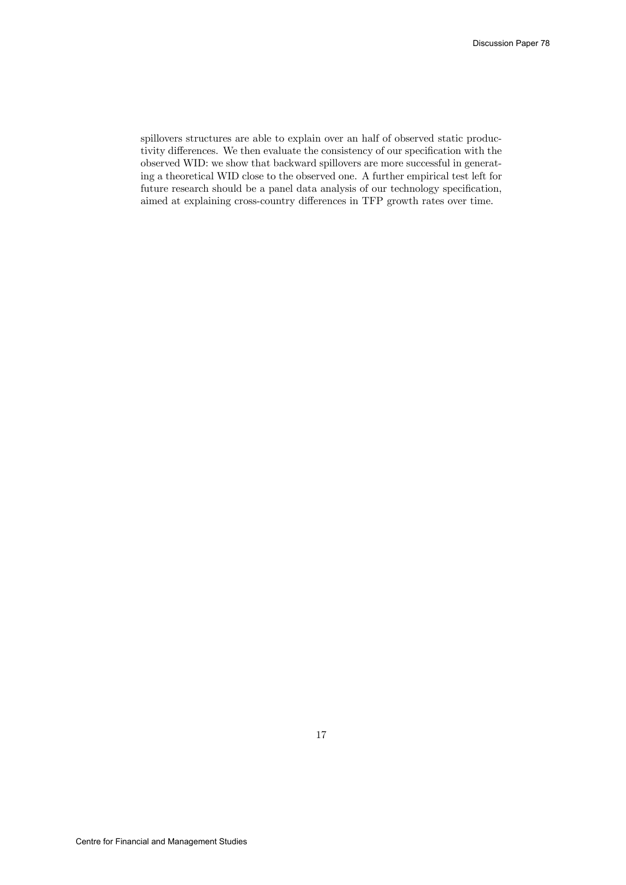spillovers structures are able to explain over an half of observed static productivity differences. We then evaluate the consistency of our specification with the observed WID: we show that backward spillovers are more successful in generating a theoretical WID close to the observed one. A further empirical test left for future research should be a panel data analysis of our technology specification, aimed at explaining cross-country differences in TFP growth rates over time.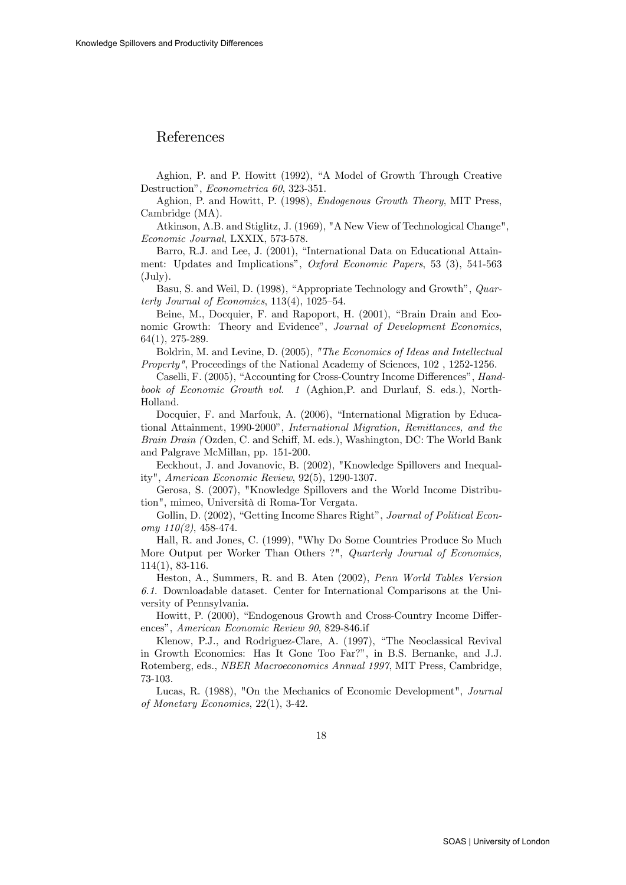#### References

Aghion, P. and P. Howitt (1992), "A Model of Growth Through Creative Destruction", Econometrica 60, 323-351.

Aghion, P. and Howitt, P. (1998), Endogenous Growth Theory, MIT Press, Cambridge (MA).

Atkinson, A.B. and Stiglitz, J. (1969), "A New View of Technological Change", Economic Journal, LXXIX, 573-578.

Barro, R.J. and Lee, J. (2001), "International Data on Educational Attainment: Updates and Implications", Oxford Economic Papers, 53 (3), 541-563 (July).

Basu, S. and Weil, D. (1998), "Appropriate Technology and Growth", Quarterly Journal of Economics, 113(4), 1025—54.

Beine, M., Docquier, F. and Rapoport, H. (2001), "Brain Drain and Economic Growth: Theory and Evidence", Journal of Development Economics, 64(1), 275-289.

Boldrin, M. and Levine, D. (2005), "The Economics of Ideas and Intellectual Property", Proceedings of the National Academy of Sciences, 102 , 1252-1256.

Caselli, F. (2005), "Accounting for Cross-Country Income Differences", Handbook of Economic Growth vol. 1 (Aghion,P. and Durlauf, S. eds.), North-Holland.

Docquier, F. and Marfouk, A. (2006), "International Migration by Educational Attainment, 1990-2000", International Migration, Remittances, and the Brain Drain (Ozden, C. and Schiff, M. eds.), Washington, DC: The World Bank and Palgrave McMillan, pp. 151-200.

Eeckhout, J. and Jovanovic, B. (2002), "Knowledge Spillovers and Inequality", American Economic Review, 92(5), 1290-1307.

Gerosa, S. (2007), "Knowledge Spillovers and the World Income Distribution", mimeo, Università di Roma-Tor Vergata.

Gollin, D. (2002), "Getting Income Shares Right", Journal of Political Econ $omu$  110(2), 458-474.

Hall, R. and Jones, C. (1999), "Why Do Some Countries Produce So Much More Output per Worker Than Others ?", Quarterly Journal of Economics, 114(1), 83-116.

Heston, A., Summers, R. and B. Aten (2002), Penn World Tables Version 6.1. Downloadable dataset. Center for International Comparisons at the University of Pennsylvania.

Howitt, P. (2000), "Endogenous Growth and Cross-Country Income Differences", American Economic Review 90, 829-846.if

Klenow, P.J., and Rodriguez-Clare, A. (1997), "The Neoclassical Revival in Growth Economics: Has It Gone Too Far?", in B.S. Bernanke, and J.J. Rotemberg, eds., NBER Macroeconomics Annual 1997, MIT Press, Cambridge, 73-103.

Lucas, R. (1988), "On the Mechanics of Economic Development", Journal of Monetary Economics, 22(1), 3-42.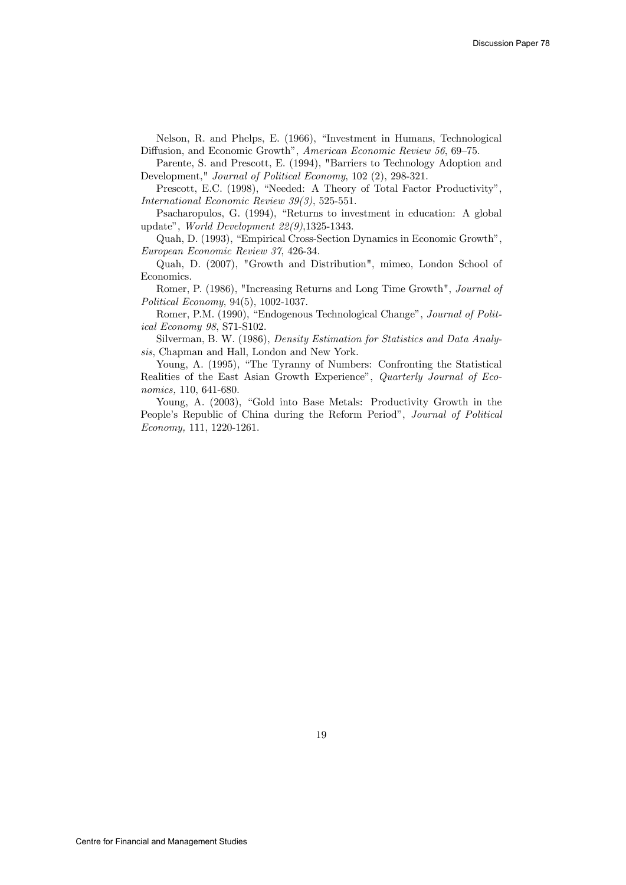Nelson, R. and Phelps, E. (1966), "Investment in Humans, Technological Diffusion, and Economic Growth", American Economic Review 56, 69—75.

Parente, S. and Prescott, E. (1994), "Barriers to Technology Adoption and Development," Journal of Political Economy, 102 (2), 298-321.

Prescott, E.C. (1998), "Needed: A Theory of Total Factor Productivity", International Economic Review 39(3), 525-551.

Psacharopulos, G. (1994), "Returns to investment in education: A global update", World Development 22(9),1325-1343.

Quah, D. (1993), "Empirical Cross-Section Dynamics in Economic Growth", European Economic Review 37, 426-34.

Quah, D. (2007), "Growth and Distribution", mimeo, London School of Economics.

Romer, P. (1986), "Increasing Returns and Long Time Growth", Journal of Political Economy, 94(5), 1002-1037.

Romer, P.M. (1990), "Endogenous Technological Change", Journal of Political Economy 98, S71-S102.

Silverman, B. W. (1986), Density Estimation for Statistics and Data Analysis, Chapman and Hall, London and New York.

Young, A. (1995), "The Tyranny of Numbers: Confronting the Statistical Realities of the East Asian Growth Experience", Quarterly Journal of Economics, 110, 641-680.

Young, A. (2003), "Gold into Base Metals: Productivity Growth in the People's Republic of China during the Reform Period", Journal of Political Economy, 111, 1220-1261.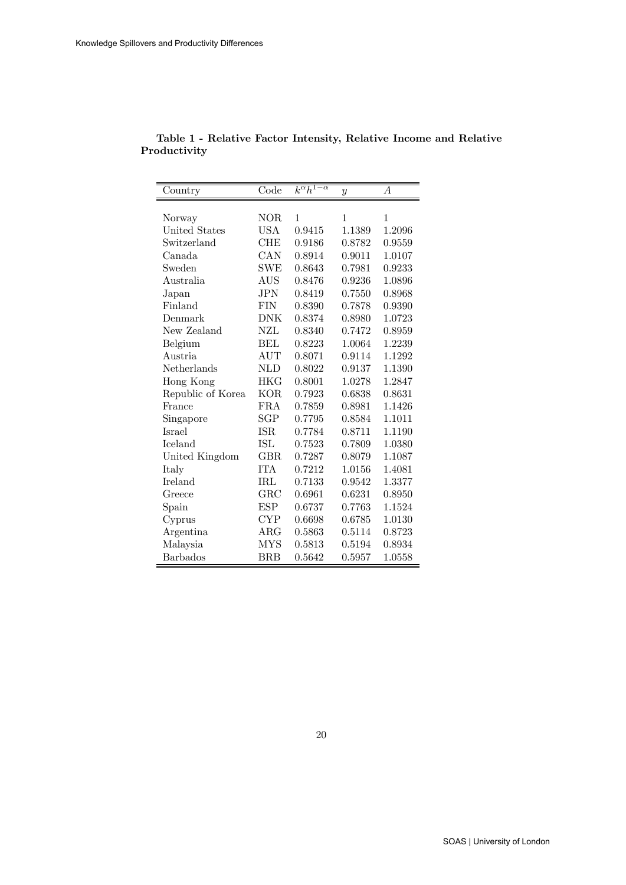| Country           | Code         | $k^{\alpha}h^{1-\alpha}$ | $\boldsymbol{y}$ | А      |
|-------------------|--------------|--------------------------|------------------|--------|
|                   |              |                          |                  |        |
| Norway            | NOR          | 1                        | 1                | 1      |
| United States     | USA          | 0.9415                   | 1.1389           | 1.2096 |
| Switzerland       | CHE          | 0.9186                   | 0.8782           | 0.9559 |
| Canada            | CAN          | 0.8914                   | 0.9011           | 1.0107 |
| Sweden            | SWE          | 0.8643                   | 0.7981           | 0.9233 |
| Australia         | <b>AUS</b>   | 0.8476                   | 0.9236           | 1.0896 |
| Japan             | JPN          | 0.8419                   | 0.7550           | 0.8968 |
| Finland           | <b>FIN</b>   | 0.8390                   | 0.7878           | 0.9390 |
| Denmark           | DNK          | 0.8374                   | 0.8980           | 1.0723 |
| New Zealand       | NZL          | 0.8340                   | 0.7472           | 0.8959 |
| Belgium           | BEL          | 0.8223                   | 1.0064           | 1.2239 |
| Austria           | $\rm{AUT}$   | 0.8071                   | 0.9114           | 1.1292 |
| Netherlands       | NLD          | 0.8022                   | 0.9137           | 1.1390 |
| Hong Kong         | HKG          | 0.8001                   | 1.0278           | 1.2847 |
| Republic of Korea | KOR          | 0.7923                   | 0.6838           | 0.8631 |
| France            | FRA          | 0.7859                   | 0.8981           | 1.1426 |
| Singapore         | SGP          | 0.7795                   | 0.8584           | 1.1011 |
| <b>Israel</b>     | ISR          | 0.7784                   | 0.8711           | 1.1190 |
| <b>Iceland</b>    | ISL          | 0.7523                   | 0.7809           | 1.0380 |
| United Kingdom    | GBR          | 0.7287                   | 0.8079           | 1.1087 |
| Italy             | <b>ITA</b>   | 0.7212                   | 1.0156           | 1.4081 |
| Ireland           | IRL          | 0.7133                   | 0.9542           | 1.3377 |
| Greece            | $_{\rm GRC}$ | 0.6961                   | 0.6231           | 0.8950 |
| Spain             | ESP          | 0.6737                   | 0.7763           | 1.1524 |
| Cyprus            | CYP          | 0.6698                   | 0.6785           | 1.0130 |
| Argentina         | ARG          | 0.5863                   | 0.5114           | 0.8723 |
| Malaysia          | <b>MYS</b>   | 0.5813                   | 0.5194           | 0.8934 |
| <b>Barbados</b>   | $_{\rm BRB}$ | 0.5642                   | 0.5957           | 1.0558 |

Table 1 - Relative Factor Intensity, Relative Income and Relative Productivity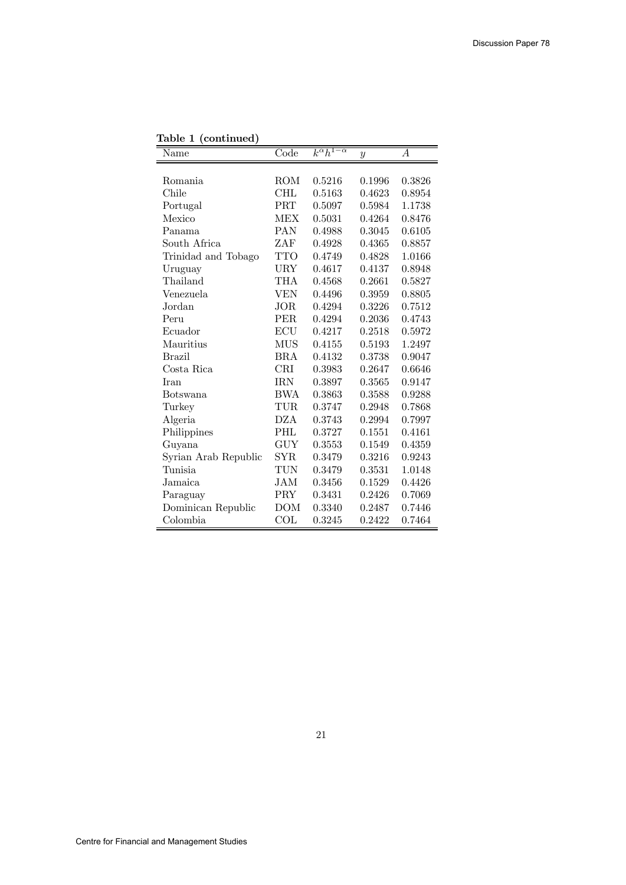| Table 1 (continued)  |                          |                          |                  |                  |
|----------------------|--------------------------|--------------------------|------------------|------------------|
| Name                 | $\overline{\text{Code}}$ | $k^{\alpha}h^{1-\alpha}$ | $\boldsymbol{y}$ | $\boldsymbol{A}$ |
|                      |                          |                          |                  |                  |
| <b>Romania</b>       | ROM                      | 0.5216                   | 0.1996           | 0.3826           |
| Chile                | <b>CHL</b>               | 0.5163                   | 0.4623           | 0.8954           |
| Portugal             | PRT                      | 0.5097                   | 0.5984           | 1.1738           |
| Mexico               | MEX                      | 0.5031                   | 0.4264           | 0.8476           |
| Panama               | <b>PAN</b>               | 0.4988                   | 0.3045           | 0.6105           |
| South Africa         | ZAF                      | 0.4928                   | 0.4365           | 0.8857           |
| Trinidad and Tobago  | <b>TTO</b>               | 0.4749                   | 0.4828           | 1.0166           |
| Uruguay              | URY                      | 0.4617                   | 0.4137           | 0.8948           |
| Thailand             | THA                      | 0.4568                   | 0.2661           | 0.5827           |
| Venezuela            | VEN                      | 0.4496                   | 0.3959           | 0.8805           |
| Jordan               | <b>JOR</b>               | 0.4294                   | 0.3226           | 0.7512           |
| Peru                 | PER.                     | 0.4294                   | 0.2036           | 0.4743           |
| Ecuador              | ECU                      | 0.4217                   | 0.2518           | 0.5972           |
| Mauritius            | MUS                      | 0.4155                   | 0.5193           | 1.2497           |
| <b>Brazil</b>        | <b>BRA</b>               | 0.4132                   | 0.3738           | 0.9047           |
| Costa Rica           | CRI                      | 0.3983                   | 0.2647           | 0.6646           |
| Iran                 | <b>IRN</b>               | 0.3897                   | 0.3565           | 0.9147           |
| <b>Botswana</b>      | BWA                      | 0.3863                   | 0.3588           | 0.9288           |
| Turkey               | TUR                      | 0.3747                   | 0.2948           | 0.7868           |
| Algeria              | DZA                      | 0.3743                   | 0.2994           | 0.7997           |
| Philippines          | PHL                      | 0.3727                   | 0.1551           | 0.4161           |
| Guyana               | GUY                      | 0.3553                   | 0.1549           | 0.4359           |
| Syrian Arab Republic | <b>SYR</b>               | 0.3479                   | 0.3216           | 0.9243           |
| Tunisia              | TUN                      | 0.3479                   | 0.3531           | 1.0148           |
| Jamaica              | <b>JAM</b>               | 0.3456                   | 0.1529           | 0.4426           |
| Paraguay             | PRY                      | 0.3431                   | 0.2426           | 0.7069           |
| Dominican Republic   | DOM                      | 0.3340                   | 0.2487           | 0.7446           |
| Colombia             | COL                      | 0.3245                   | 0.2422           | 0.7464           |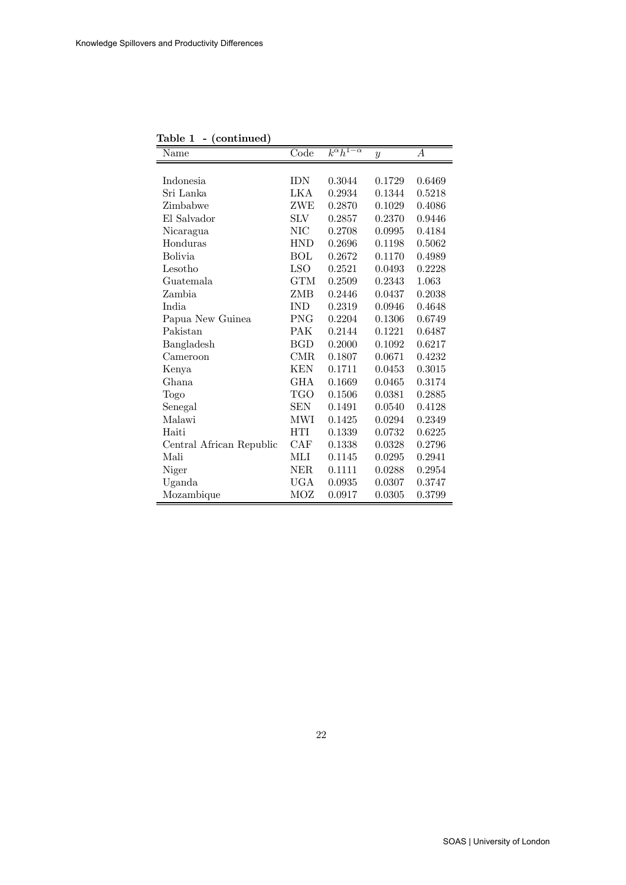| Table 1<br>- (continued) |            |                          |                  |                  |
|--------------------------|------------|--------------------------|------------------|------------------|
| Name                     | Code       | $k^{\alpha}h^{1-\alpha}$ | $\boldsymbol{y}$ | $\boldsymbol{A}$ |
|                          |            |                          |                  |                  |
| Indonesia                | <b>IDN</b> | 0.3044                   | 0.1729           | 0.6469           |
| Sri Lanka                | LKA        | 0.2934                   | 0.1344           | 0.5218           |
| Zimbabwe                 | ZWE        | 0.2870                   | 0.1029           | 0.4086           |
| El Salvador              | <b>SLV</b> | 0.2857                   | 0.2370           | 0.9446           |
| Nicaragua                | NIC        | 0.2708                   | 0.0995           | 0.4184           |
| Honduras                 | <b>HND</b> | 0.2696                   | 0.1198           | 0.5062           |
| <b>Bolivia</b>           | <b>BOL</b> | 0.2672                   | 0.1170           | 0.4989           |
| Lesotho                  | <b>LSO</b> | 0.2521                   | 0.0493           | 0.2228           |
| Guatemala                | <b>GTM</b> | 0.2509                   | 0.2343           | 1.063            |
| Zambia                   | ZMB        | 0.2446                   | 0.0437           | 0.2038           |
| India                    | <b>IND</b> | 0.2319                   | 0.0946           | 0.4648           |
| Papua New Guinea         | PNG        | 0.2204                   | 0.1306           | 0.6749           |
| Pakistan                 | <b>PAK</b> | 0.2144                   | 0.1221           | 0.6487           |
| Bangladesh               | <b>BGD</b> | 0.2000                   | 0.1092           | 0.6217           |
| Cameroon                 | CMR.       | 0.1807                   | 0.0671           | 0.4232           |
| Kenya                    | <b>KEN</b> | 0.1711                   | 0.0453           | 0.3015           |
| Ghana                    | <b>GHA</b> | 0.1669                   | 0.0465           | 0.3174           |
| Togo                     | TGO        | 0.1506                   | 0.0381           | 0.2885           |
| Senegal                  | <b>SEN</b> | 0.1491                   | 0.0540           | 0.4128           |
| Malawi                   | MWI        | 0.1425                   | 0.0294           | 0.2349           |
| Haiti                    | <b>HTI</b> | 0.1339                   | 0.0732           | 0.6225           |
| Central African Republic | CAF        | 0.1338                   | 0.0328           | 0.2796           |
| Mali                     | MЫ         | 0.1145                   | 0.0295           | 0.2941           |
| Niger                    | NER.       | 0.1111                   | 0.0288           | 0.2954           |
| Uganda                   | <b>UGA</b> | 0.0935                   | 0.0307           | 0.3747           |
| Mozambique               | MOZ        | 0.0917                   | 0.0305           | 0.3799           |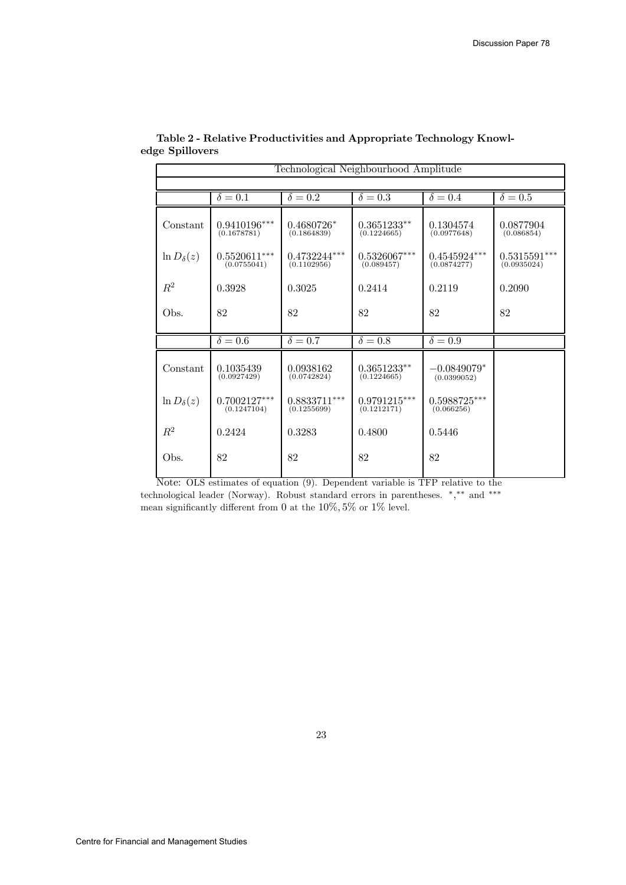| Technological Neighbourhood Amplitude |                               |                               |                               |                               |                                           |  |
|---------------------------------------|-------------------------------|-------------------------------|-------------------------------|-------------------------------|-------------------------------------------|--|
|                                       |                               |                               |                               |                               |                                           |  |
|                                       | $\delta = 0.1$                | $\delta = 0.2$                | $\delta = 0.3$                | $\delta = 0.4$                | $\delta = 0.5$                            |  |
| Constant                              | $0.9410196***$<br>(0.1678781) | $0.4680726*$<br>(0.1864839)   | $0.3651233**$<br>(0.1224665)  | 0.1304574<br>(0.0977648)      | 0.0877904<br>(0.086854)                   |  |
| $\ln D_{\delta}(z)$                   | $0.5520611***$<br>(0.0755041) | $0.4732244***$<br>(0.1102956) | $0.5326067***$<br>(0.089457)  | $0.4545924***$<br>(0.0874277) | $0.5315591^{\ast\ast\ast}$<br>(0.0935024) |  |
| $R^2$                                 | 0.3928                        | 0.3025                        | 0.2414                        | 0.2119                        | 0.2090                                    |  |
| Obs.                                  | 82                            | 82                            | 82                            | 82                            | 82                                        |  |
|                                       | $\delta = 0.\overline{6}$     | $\delta = 0.7$                | $\delta = 0.8$                | $\delta = 0.9$                |                                           |  |
| Constant                              | 0.1035439<br>(0.0927429)      | 0.0938162<br>(0.0742824)      | $0.3651233**$<br>(0.1224665)  | $-0.0849079*$<br>(0.0399052)  |                                           |  |
| $\ln D_{\delta}(z)$                   | $0.7002127***$<br>(0.1247104) | $0.8833711***$<br>(0.1255699) | $0.9791215***$<br>(0.1212171) | $0.5988725***$<br>(0.066256)  |                                           |  |
| $R^2$                                 | 0.2424                        | 0.3283                        | 0.4800                        | 0.5446                        |                                           |  |
| Obs.                                  | 82                            | 82                            | 82                            | 82                            |                                           |  |

#### Table 2 - Relative Productivities and Appropriate Technology Knowledge Spillovers

Note: OLS estimates of equation (9). Dependent variable is TFP relative to the technological leader (Norway). Robust standard errors in parentheses. ∗, ∗∗ and ∗∗∗ mean significantly different from 0 at the  $10\%, 5\%$  or  $1\%$  level.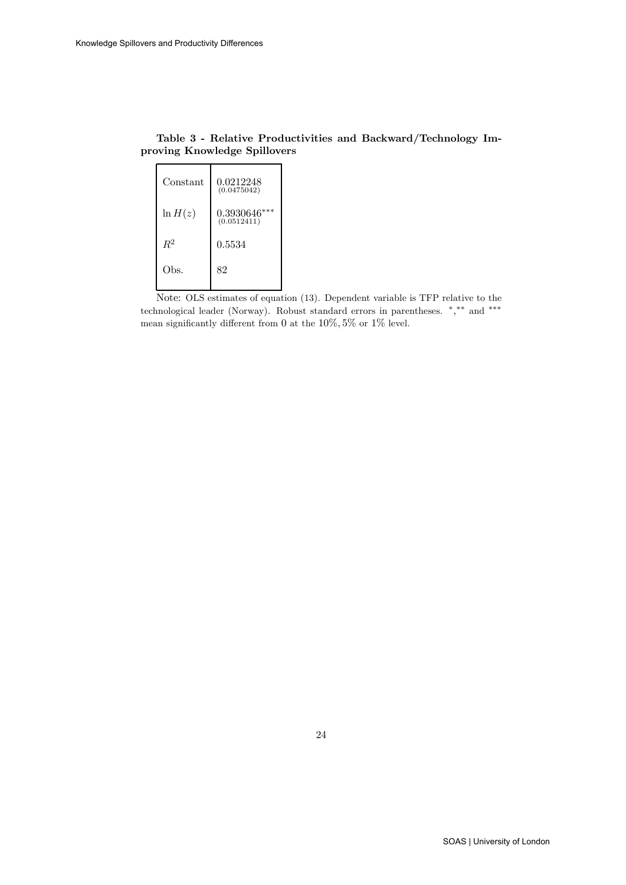| Constant   | 0.0212248<br>(0.0475042)      |
|------------|-------------------------------|
| $\ln H(z)$ | $0.3930646***$<br>(0.0512411) |
| $R^2$      | 0.5534                        |
| Obs.       | 82                            |

| Table 3 - Relative Productivities and Backward/Technology Im- |  |  |  |
|---------------------------------------------------------------|--|--|--|
| proving Knowledge Spillovers                                  |  |  |  |

Note: OLS estimates of equation (13). Dependent variable is TFP relative to the technological leader (Norway). Robust standard errors in parentheses. ∗, ∗∗ and ∗∗∗ mean significantly different from 0 at the 10%, 5% or 1% level.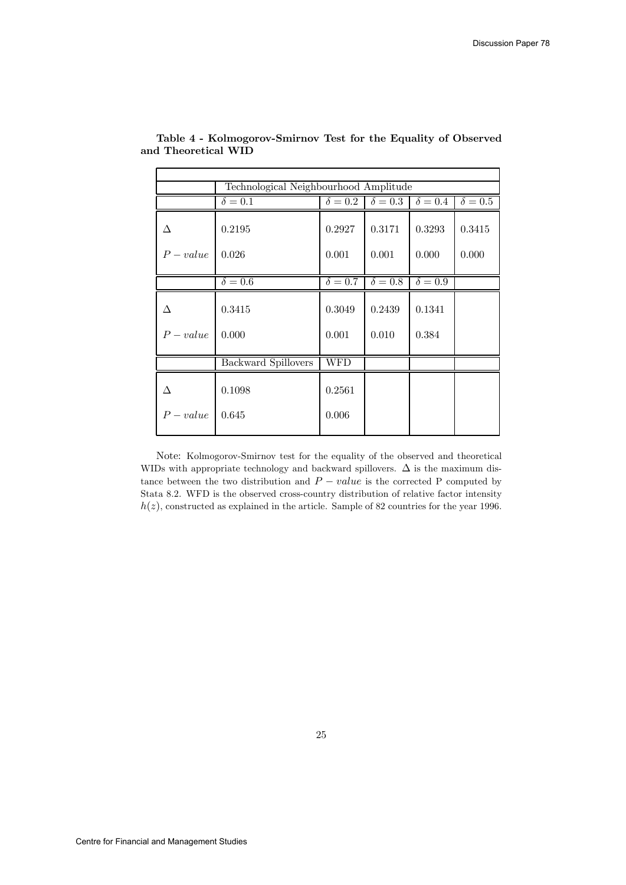| Technological Neighbourhood Amplitude |                            |                           |                         |                           |                |
|---------------------------------------|----------------------------|---------------------------|-------------------------|---------------------------|----------------|
|                                       | $\delta = 0.1$             | $\delta = 0.2$            | $\delta = 0.3$          | $\delta = 0.4$            | $\delta = 0.5$ |
| Δ                                     | 0.2195                     | 0.2927                    | 0.3171                  | 0.3293                    | 0.3415         |
| $P-value$                             | 0.026                      | 0.001                     | 0.001                   | 0.000                     | 0.000          |
|                                       | $\overline{\delta} = 0.6$  | $\overline{\delta} = 0.7$ | $\overline{\delta=0.8}$ | $\overline{\delta} = 0.9$ |                |
| Δ<br>$P-value$                        | 0.3415<br>0.000            | 0.3049<br>0.001           | 0.2439<br>0.010         | 0.1341<br>0.384           |                |
|                                       | <b>Backward Spillovers</b> | <b>WFD</b>                |                         |                           |                |
|                                       |                            |                           |                         |                           |                |
| Δ                                     | 0.1098                     | 0.2561                    |                         |                           |                |
| $P-value$                             | 0.645                      | 0.006                     |                         |                           |                |

Table 4 - Kolmogorov-Smirnov Test for the Equality of Observed and Theoretical WID

Note: Kolmogorov-Smirnov test for the equality of the observed and theoretical WIDs with appropriate technology and backward spillovers.  $\Delta$  is the maximum distance between the two distribution and  $P - value$  is the corrected P computed by Stata 8.2. WFD is the observed cross-country distribution of relative factor intensity  $h(z)$ , constructed as explained in the article. Sample of 82 countries for the year 1996.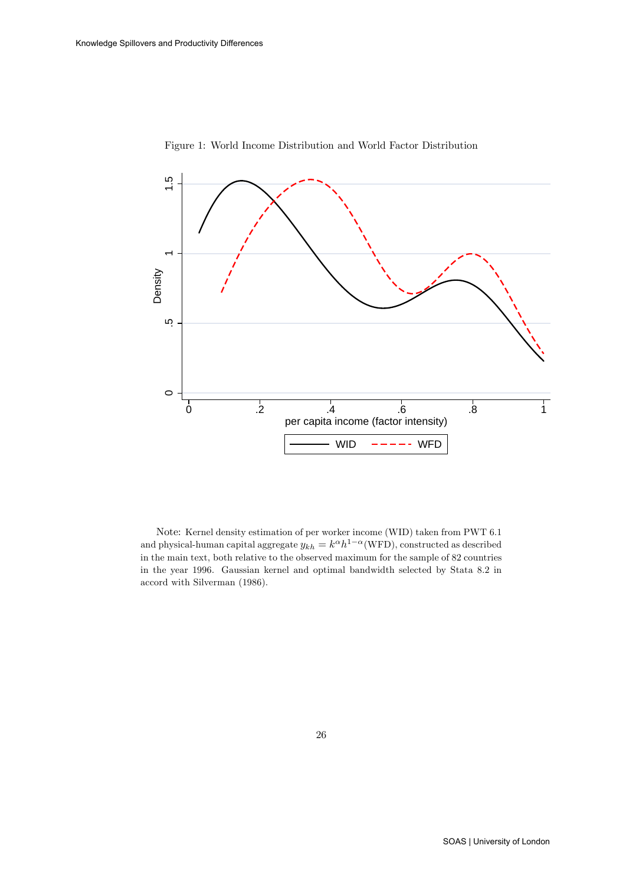

Figure 1: World Income Distribution and World Factor Distribution

Note: Kernel density estimation of per worker income (WID) taken from PWT 6.1 and physical-human capital aggregate  $y_{kh} = k^{\alpha} h^{1-\alpha}(\text{WFD})$ , constructed as described in the main text, both relative to the observed maximum for the sample of 82 countries in the year 1996. Gaussian kernel and optimal bandwidth selected by Stata 8.2 in accord with Silverman (1986).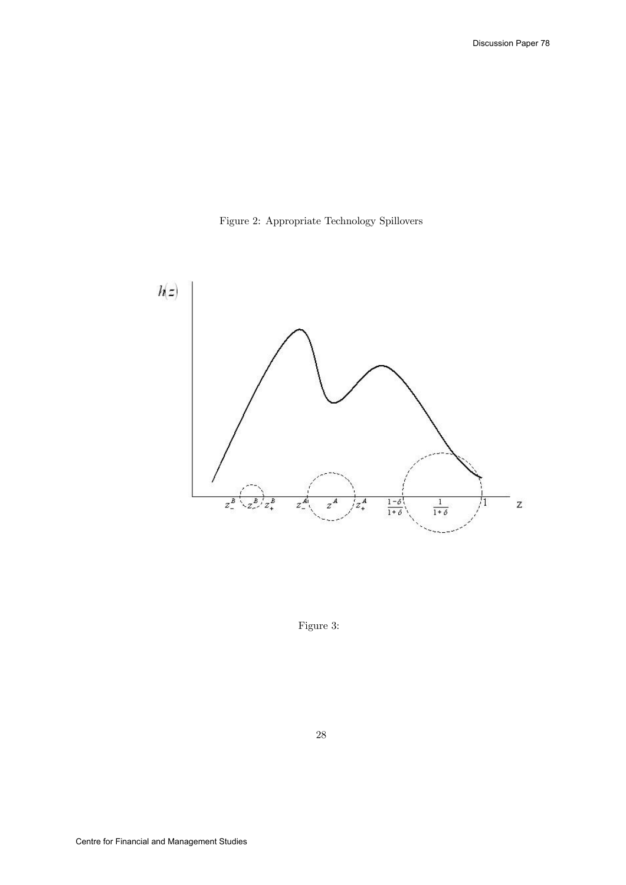



Figure 3: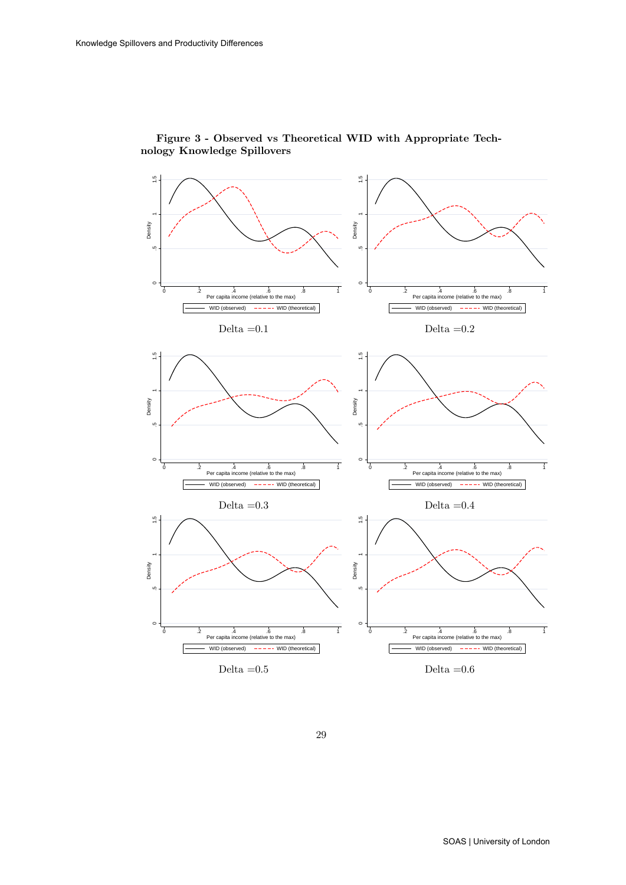

#### Figure 3 - Observed vs Theoretical WID with Appropriate Technology Knowledge Spillovers

29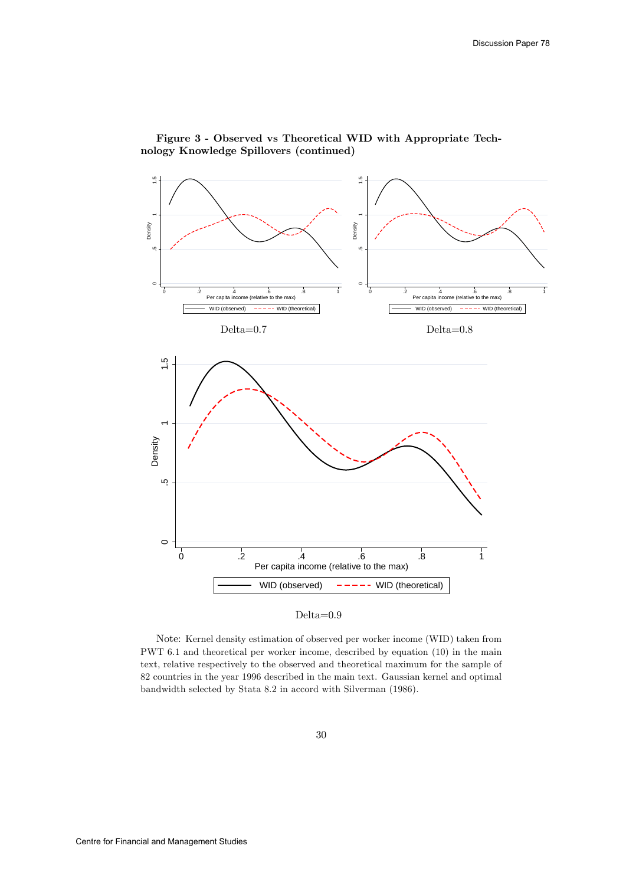

#### Figure 3 - Observed vs Theoretical WID with Appropriate Technology Knowledge Spillovers (continued)



Note: Kernel density estimation of observed per worker income (WID) taken from PWT 6.1 and theoretical per worker income, described by equation (10) in the main text, relative respectively to the observed and theoretical maximum for the sample of 82 countries in the year 1996 described in the main text. Gaussian kernel and optimal bandwidth selected by Stata 8.2 in accord with Silverman (1986).